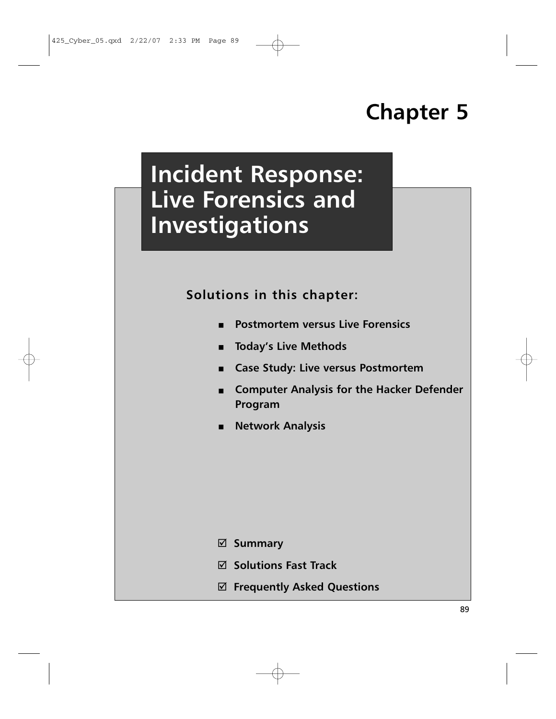# **Chapter 5**

# **Incident Response: Live Forensics and Investigations**

### **Solutions in this chapter:**

- **Postmortem versus Live Forensics**
- **Today's Live Methods**
- **Case Study: Live versus Postmortem**
- **Computer Analysis for the Hacker Defender Program**
- **Network Analysis**

- **Summary**
- **Solutions Fast Track**
- **Frequently Asked Questions**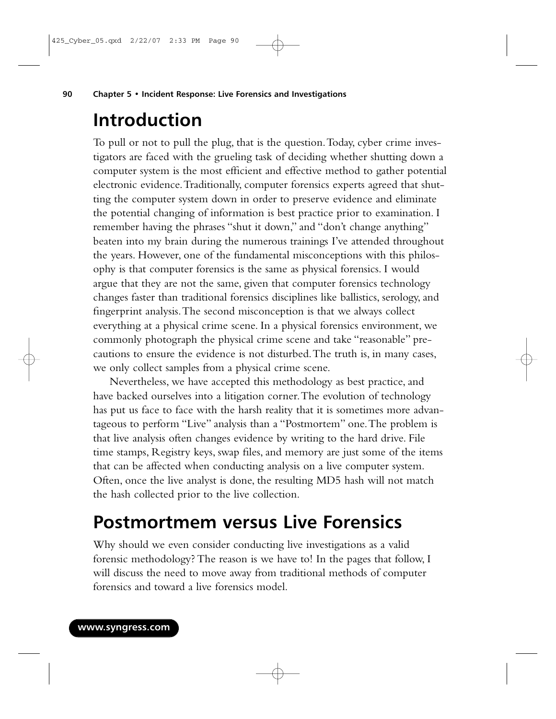## **Introduction**

To pull or not to pull the plug, that is the question.Today, cyber crime investigators are faced with the grueling task of deciding whether shutting down a computer system is the most efficient and effective method to gather potential electronic evidence.Traditionally, computer forensics experts agreed that shutting the computer system down in order to preserve evidence and eliminate the potential changing of information is best practice prior to examination. I remember having the phrases "shut it down," and "don't change anything" beaten into my brain during the numerous trainings I've attended throughout the years. However, one of the fundamental misconceptions with this philosophy is that computer forensics is the same as physical forensics. I would argue that they are not the same, given that computer forensics technology changes faster than traditional forensics disciplines like ballistics, serology, and fingerprint analysis.The second misconception is that we always collect everything at a physical crime scene. In a physical forensics environment, we commonly photograph the physical crime scene and take "reasonable" precautions to ensure the evidence is not disturbed.The truth is, in many cases, we only collect samples from a physical crime scene.

Nevertheless, we have accepted this methodology as best practice, and have backed ourselves into a litigation corner.The evolution of technology has put us face to face with the harsh reality that it is sometimes more advantageous to perform "Live" analysis than a "Postmortem" one.The problem is that live analysis often changes evidence by writing to the hard drive. File time stamps, Registry keys, swap files, and memory are just some of the items that can be affected when conducting analysis on a live computer system. Often, once the live analyst is done, the resulting MD5 hash will not match the hash collected prior to the live collection.

## **Postmortmem versus Live Forensics**

Why should we even consider conducting live investigations as a valid forensic methodology? The reason is we have to! In the pages that follow, I will discuss the need to move away from traditional methods of computer forensics and toward a live forensics model.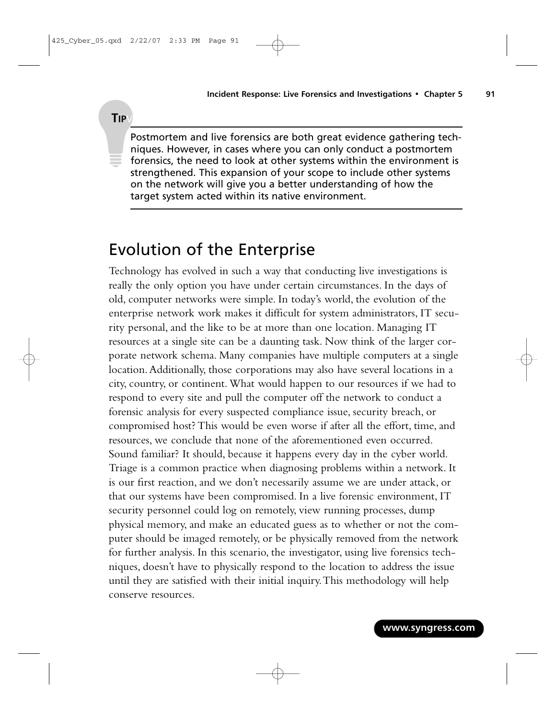#### **TIP**

Postmortem and live forensics are both great evidence gathering techniques. However, in cases where you can only conduct a postmortem forensics, the need to look at other systems within the environment is strengthened. This expansion of your scope to include other systems on the network will give you a better understanding of how the target system acted within its native environment.

### Evolution of the Enterprise

Technology has evolved in such a way that conducting live investigations is really the only option you have under certain circumstances. In the days of old, computer networks were simple. In today's world, the evolution of the enterprise network work makes it difficult for system administrators, IT security personal, and the like to be at more than one location. Managing IT resources at a single site can be a daunting task. Now think of the larger corporate network schema. Many companies have multiple computers at a single location.Additionally, those corporations may also have several locations in a city, country, or continent. What would happen to our resources if we had to respond to every site and pull the computer off the network to conduct a forensic analysis for every suspected compliance issue, security breach, or compromised host? This would be even worse if after all the effort, time, and resources, we conclude that none of the aforementioned even occurred. Sound familiar? It should, because it happens every day in the cyber world. Triage is a common practice when diagnosing problems within a network. It is our first reaction, and we don't necessarily assume we are under attack, or that our systems have been compromised. In a live forensic environment, IT security personnel could log on remotely, view running processes, dump physical memory, and make an educated guess as to whether or not the computer should be imaged remotely, or be physically removed from the network for further analysis. In this scenario, the investigator, using live forensics techniques, doesn't have to physically respond to the location to address the issue until they are satisfied with their initial inquiry.This methodology will help conserve resources.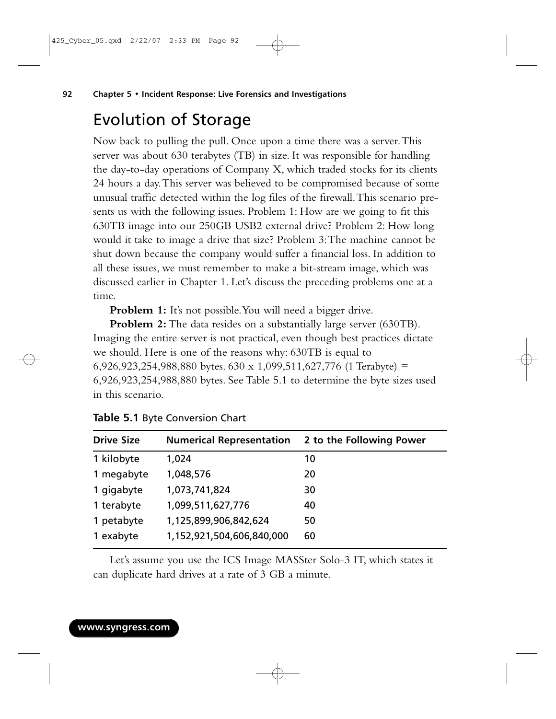### Evolution of Storage

Now back to pulling the pull. Once upon a time there was a server.This server was about 630 terabytes (TB) in size. It was responsible for handling the day-to-day operations of Company X, which traded stocks for its clients 24 hours a day.This server was believed to be compromised because of some unusual traffic detected within the log files of the firewall.This scenario presents us with the following issues. Problem 1: How are we going to fit this 630TB image into our 250GB USB2 external drive? Problem 2: How long would it take to image a drive that size? Problem 3:The machine cannot be shut down because the company would suffer a financial loss. In addition to all these issues, we must remember to make a bit-stream image, which was discussed earlier in Chapter 1. Let's discuss the preceding problems one at a time.

**Problem 1:** It's not possible. You will need a bigger drive.

**Problem 2:** The data resides on a substantially large server (630TB). Imaging the entire server is not practical, even though best practices dictate we should. Here is one of the reasons why: 630TB is equal to 6,926,923,254,988,880 bytes. 630 x 1,099,511,627,776 (1 Terabyte) = 6,926,923,254,988,880 bytes. See Table 5.1 to determine the byte sizes used in this scenario.

| <b>Drive Size</b> | <b>Numerical Representation</b> | 2 to the Following Power |
|-------------------|---------------------------------|--------------------------|
| 1 kilobyte        | 1,024                           | 10                       |
| 1 megabyte        | 1,048,576                       | 20                       |
| 1 gigabyte        | 1,073,741,824                   | 30                       |
| 1 terabyte        | 1,099,511,627,776               | 40                       |
| 1 petabyte        | 1,125,899,906,842,624           | 50                       |
| 1 exabyte         | 1,152,921,504,606,840,000       | 60                       |

|  |  | Table 5.1 Byte Conversion Chart |  |
|--|--|---------------------------------|--|
|--|--|---------------------------------|--|

Let's assume you use the ICS Image MASSter Solo-3 IT, which states it can duplicate hard drives at a rate of 3 GB a minute.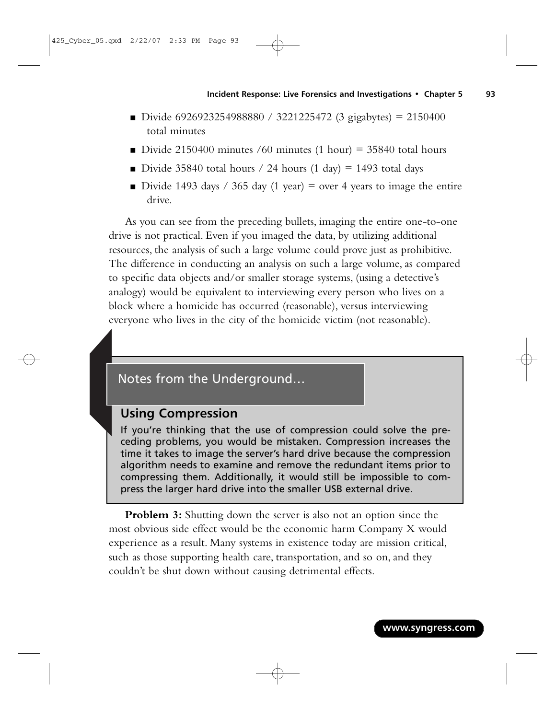- Divide 6926923254988880 / 3221225472 (3 gigabytes) = 2150400 total minutes
- Divide 2150400 minutes /60 minutes (1 hour) = 35840 total hours
- Divide 35840 total hours / 24 hours (1 day) = 1493 total days
- Divide 1493 days / 365 day (1 year) = over 4 years to image the entire drive.

As you can see from the preceding bullets, imaging the entire one-to-one drive is not practical. Even if you imaged the data, by utilizing additional resources, the analysis of such a large volume could prove just as prohibitive. The difference in conducting an analysis on such a large volume, as compared to specific data objects and/or smaller storage systems, (using a detective's analogy) would be equivalent to interviewing every person who lives on a block where a homicide has occurred (reasonable), versus interviewing everyone who lives in the city of the homicide victim (not reasonable).

### Notes from the Underground…

#### **Using Compression**

If you're thinking that the use of compression could solve the preceding problems, you would be mistaken. Compression increases the time it takes to image the server's hard drive because the compression algorithm needs to examine and remove the redundant items prior to compressing them. Additionally, it would still be impossible to compress the larger hard drive into the smaller USB external drive.

**Problem 3:** Shutting down the server is also not an option since the most obvious side effect would be the economic harm Company X would experience as a result. Many systems in existence today are mission critical, such as those supporting health care, transportation, and so on, and they couldn't be shut down without causing detrimental effects.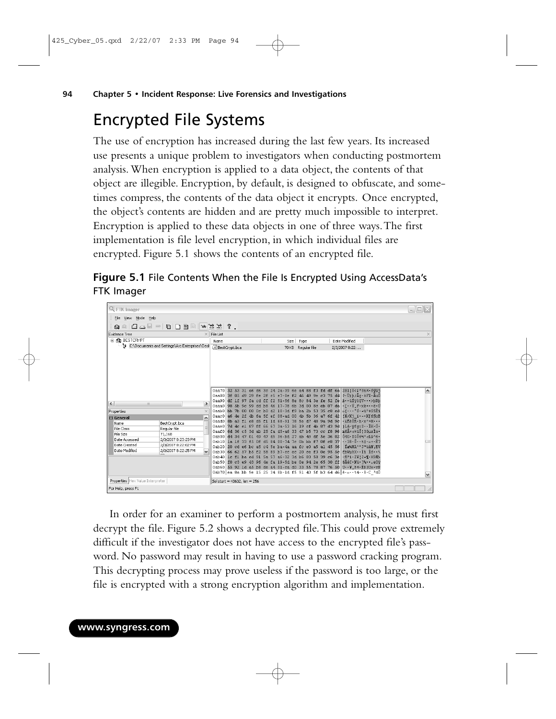### Encrypted File Systems

The use of encryption has increased during the last few years. Its increased use presents a unique problem to investigators when conducting postmortem analysis. When encryption is applied to a data object, the contents of that object are illegible. Encryption, by default, is designed to obfuscate, and sometimes compress, the contents of the data object it encrypts. Once encrypted, the object's contents are hidden and are pretty much impossible to interpret. Encryption is applied to these data objects in one of three ways.The first implementation is file level encryption, in which individual files are encrypted. Figure 5.1 shows the contents of an encrypted file.

**Figure 5.1** File Contents When the File Is Encrypted Using AccessData's FTK Imager

| $Q$ FTK Imager                                               |                                                                                                                                                   | $\Box$<br>$\sim$    |
|--------------------------------------------------------------|---------------------------------------------------------------------------------------------------------------------------------------------------|---------------------|
| File View Mode Help                                          |                                                                                                                                                   |                     |
| $\Box \Box \Box = \Box \Box \Box \Box \blacksquare$<br>40. 金 |                                                                                                                                                   |                     |
| Evidence Tree<br>$\times$                                    | File List                                                                                                                                         | $\times$            |
| □ Q BESTCRYPT                                                | Date Modified<br>Type<br>Name<br>Size                                                                                                             |                     |
| To C:\Documents and Settings\Arc Enterprises\Desl-           | BestCrypt.bca<br>70 KB Regular file<br>2/3/2007 8:22:                                                                                             |                     |
|                                                              |                                                                                                                                                   |                     |
|                                                              |                                                                                                                                                   |                     |
|                                                              |                                                                                                                                                   |                     |
|                                                              |                                                                                                                                                   |                     |
|                                                              |                                                                                                                                                   |                     |
|                                                              |                                                                                                                                                   |                     |
|                                                              | 0aa70 32 53 31 a6 d6 3c 24 2a-39 6e a4 88 f3 fd df 6a 2S1!0c\$*9nx.6ýBj                                                                           | $\hat{\phantom{a}}$ |
|                                                              | 0aa80 3f 05 d9 29 fe 2f c5 e7-0e f2 46 49 9e c3 75 d4 2.0)p/Ac.oFI.Au0                                                                            |                     |
|                                                              | 0aa90 df 1f 97 fa cd ff f2 51-56 8e 8c 84 3e fe 52 fe B. úÍvouv>bRb                                                                               |                     |
| $\vert \langle \vert \vert$<br>$\rightarrow$<br>III          | 0aaa0 98 5b 9c 99 dd b8 46 17-78 6b 3d 00 8c eb 07 da   f · Ý F xk= · ë Ú                                                                         |                     |
| $\times$<br>Properties                                       | 0aab0 bb 7b 00 00 0c b0 d2 10-3d f9 ba 2b 53 35 c8 ed > { 0 - u <sup>o</sup> + \$5E1                                                              |                     |
| $\overline{\phantom{a}}$<br>□ General                        | 0aac0 a6 4e 2f 4b 6a 5f ef 08-ad 00 4b 5b 36 a7 6f 42  N/Ki 1 - KI6SoB                                                                            |                     |
| BestCrypt.bca<br>Name                                        | OaadO 8b a3 fl e8 d5 fl 1d 68-91 78 5e d7 48 9a 9d 9c .£ñèOn.h.x^xH<br>0aae0 7d 4c el 87 ff 66 67 3a-53 16 19 cf 4b 87 d3 9d }Lá·vfg: S· IK·0·    |                     |
| File Class<br>Regular file                                   | 0aaf0 6d 36 c5 3d ab 25 fa d5-a6 33 47 b5 73 cc f8 96 m6Å=«%úŐ!3GusÌø·                                                                            |                     |
| File Size<br>71.168                                          | 0ab00 d4 34 47 01 49 47 d5 36-bd 27 ab 4c df 5e 36 02 04G IG06%' <lb^6.< td=""><td></td></lb^6.<>                                                 |                     |
| 2/3/2007 8:23:23 PM<br>Date Accessed                         | 0ab10 1a 1f 33 f5 0f d5 84 00-74 7c 0b bb f7 0f c8 37 . 36 0 . tl > + E7                                                                          |                     |
| Date Created<br>2/3/2007 8:22:02 PM                          | 0ab20 20 cd e6 bc a5 c4 5e ba-4a aa fc e0 a5 al 45 56   feWWA^°J*üà¥;EV                                                                           |                     |
| Date Modified<br>2/3/2007 8:22:25 PM                         | 0ab30 66 62 57 b5 f2 58 89 b7-cc ec 20 ce f3 0e 95 5c fbWuòX· Ìì Îó· \                                                                            |                     |
|                                                              | 0ab40 Lc fl ba ed 91 5a 57 a6-32 3d b6 03 58 39 c6 3e +ñ°i 2W;2=¶ X9&>                                                                            |                     |
|                                                              | 0ab50 f0 c3 e9 43 96 4e fa 19-5d be 0e 94 2e 65 30 ff 8ÅéC Nú 1% . e0v<br>0ab60 55 92 1d a5 b8 de a4 01-ca d0 33 55 78 87 76 50 U·¥ Px· ED3Ux· vP |                     |
|                                                              | 0ab70 ea 8a bb 9e 15 25 34 8b-1d f5 91 43 5f b3 64 d6 ê » · · *4 · ö · C 'dÖ                                                                      |                     |
|                                                              |                                                                                                                                                   | $\checkmark$        |
| Properties Hex Value Interpreter                             | Sel start = 43632, len = 256                                                                                                                      |                     |
| For Help, press F1                                           |                                                                                                                                                   |                     |

In order for an examiner to perform a postmortem analysis, he must first decrypt the file. Figure 5.2 shows a decrypted file.This could prove extremely difficult if the investigator does not have access to the encrypted file's password. No password may result in having to use a password cracking program. This decrypting process may prove useless if the password is too large, or the file is encrypted with a strong encryption algorithm and implementation.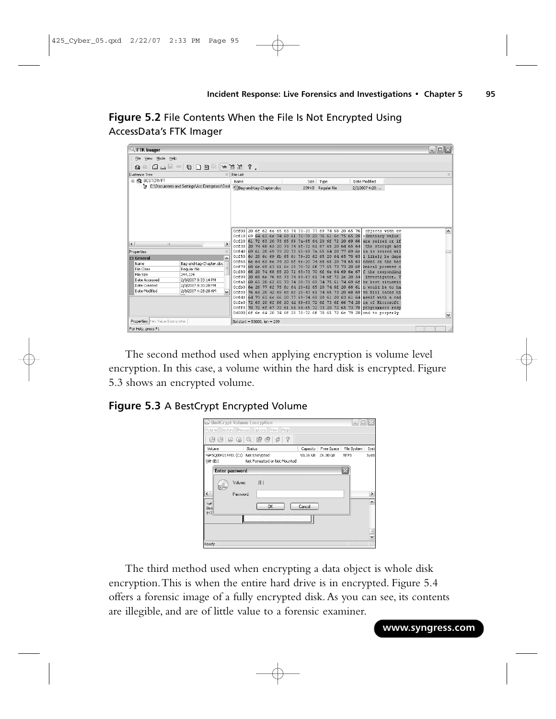**Figure 5.2** File Contents When the File Is Not Encrypted Using AccessData's FTK Imager

| Q FTK Imager                                                                  |                                                                                                                                                    | $ \Box$ $\times$ |
|-------------------------------------------------------------------------------|----------------------------------------------------------------------------------------------------------------------------------------------------|------------------|
| File View Mode Help                                                           |                                                                                                                                                    |                  |
| 6 & F - [ [ ] B [ ]<br>$\bullet$ $\circ$                                      | ☆ 篇誤 ?                                                                                                                                             |                  |
| Evidence Tree                                                                 | $\times$ File List                                                                                                                                 |                  |
| <b>⊟ Q</b> BESTCRYPT                                                          | Date Modified<br>Name<br>Size Type                                                                                                                 |                  |
| [# C:\Documents and Settings\Arc Enterprises\Desl [w] Bag-and-tag-Chapter.doc | 239 KB Regular file<br>2/3/2007 4:28:                                                                                                              |                  |
|                                                                               |                                                                                                                                                    |                  |
|                                                                               |                                                                                                                                                    |                  |
|                                                                               |                                                                                                                                                    |                  |
|                                                                               |                                                                                                                                                    |                  |
|                                                                               |                                                                                                                                                    |                  |
|                                                                               |                                                                                                                                                    |                  |
|                                                                               | 0cf00 20 6f 62 6a 65 63 74 73-20 77 69 74 68 20 65 76<br>objects with ev                                                                           | ۸                |
|                                                                               | 0cf10 69 64 65 6e 74 69 61 72-79 20 76 61 6c 75 65 20 identiary value                                                                              |                  |
| $\leq$<br>$\rightarrow$<br>III                                                | 0cf20 61 72 65 20 73 65 69 7a-65 64 20 6f 72 20 69 66 are seized or if                                                                             |                  |
|                                                                               | 0cf30 20 74 68 65 20 73 74 6f-72 61 67 65 20 6d 65 64<br>the storage med<br>0cf40 69 61 20 69 73 20 73 65-69 7a 65 64 20 77 69 6c ia is seized wil |                  |
| Properties                                                                    | 0cf50 6c 20 6c 69 6b 65 6c 79-20 62 65 20 64 65 70 65 1 likely be depe                                                                             |                  |
| $\boxdot$ General                                                             | 0cf60 6e 64 65 6e 74 20 6f 6e-20 74 68 65 20 74 65 63 ndent on the tec                                                                             |                  |
| Bag-and-tag-Chapter.doc<br>Name<br>Regular file<br>File Class                 | 0cf70 68 6e 69 63 61 6c 20 70-72 6f 77 65 73 73 20 6f hnical prowess o                                                                             |                  |
| File Size<br>244.224                                                          | 0cf80 66 20 74 68 65 20 72 65-73 70 6f 6e 64 69 6e 67 f the responding                                                                             |                  |
| Date Accessed<br>2/3/2007 8:33:14 PM                                          | 0cf90 20 69 6e 76 65 73 74 69-67 61 74 6f 72 2e 20 54 investigator. T                                                                              |                  |
| Date Created<br>2/3/2007 8:30:28 PM                                           | 0cfa0 68 65 20 62 65 73 74 20-73 69 74 75 61 74 69 6f he best situatio<br>0cfb0 6e 20 77 6f 75 6c 64 20-62 65 20 74 6f 20 68 61 n would be to ba   |                  |
| Date Modified<br>2/3/2007 4:28:20 AM<br>$\checkmark$                          | 0cfc0 76 65 20 42 69 6c 6c 20-47 61 74 65 73 20 68 69 ve Bill Gates hi                                                                             |                  |
|                                                                               | 0cfd0  6d 73 65 6c 66 20 77 69-74 68 20 61 20 63 61 64  mself with a cad                                                                           |                  |
|                                                                               | 0cfe0 72 65 20 6f 66 20 4d 69-63 72 6f 73 6f 66 74 20 re of Microsoft                                                                              |                  |
|                                                                               | 0cff0 70 72 6f 67 72 61 6d 6d-65 72 73 20 72 65 73 70 programmers resp                                                                             |                  |
|                                                                               | 0d000 6f 6e 64 20 74 6f 20 70-72 6f 70 65 72 6c 79 20 ond to properly                                                                              | v                |
| Properties Hex Value Interpreter                                              | Sel start = 53009, len = 239                                                                                                                       |                  |
| For Help, press F1                                                            |                                                                                                                                                    |                  |

The second method used when applying encryption is volume level encryption. In this case, a volume within the hard disk is encrypted. Figure 5.3 shows an encrypted volume.

**Figure 5.3** A BestCrypt Encrypted Volume

| BestCrypt Volume Encryption |                                | Volume Sectors Rescue Options View Help |          |          | $\sim$                          |                                      |
|-----------------------------|--------------------------------|-----------------------------------------|----------|----------|---------------------------------|--------------------------------------|
|                             |                                | 990000007                               |          |          |                                 |                                      |
| Volume                      | Status                         |                                         |          |          | Capacity Free Space File System | Syst                                 |
| $= (E)$                     | SQ004214P01 (C:) Not Encrypted | Not Formatted or Not Mounted            | 93.16 GB | 26.30 GB | <b>NTFS</b>                     | Syste                                |
|                             | <b>Enter password</b>          |                                         |          |          |                                 |                                      |
| $\delta =$                  | Volume:                        | (E)                                     |          |          |                                 |                                      |
| ≺                           | Password:                      |                                         |          |          |                                 | $\rightarrow$<br>$\hat{\phantom{a}}$ |
| Ġ.<br>Basi<br>117           |                                | <b>OK</b>                               | Cancel   |          |                                 |                                      |
|                             |                                |                                         |          |          |                                 |                                      |
|                             |                                |                                         |          |          |                                 | $\equiv$<br>$\checkmark$             |
| Ready                       |                                |                                         |          |          |                                 |                                      |

The third method used when encrypting a data object is whole disk encryption.This is when the entire hard drive is in encrypted. Figure 5.4 offers a forensic image of a fully encrypted disk.As you can see, its contents are illegible, and are of little value to a forensic examiner.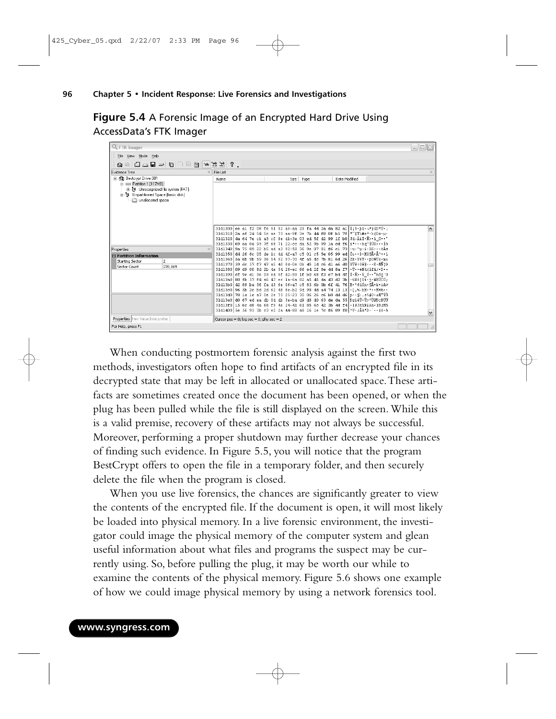**Figure 5.4** A Forensic Image of an Encrypted Hard Drive Using AccessData's FTK Imager

| Q FTK Imager                                                                                                                  |                                                                                                                                                                                                                                                                                                                                                                                    | $ \Box$ $\times$ |
|-------------------------------------------------------------------------------------------------------------------------------|------------------------------------------------------------------------------------------------------------------------------------------------------------------------------------------------------------------------------------------------------------------------------------------------------------------------------------------------------------------------------------|------------------|
| File View Mode Help                                                                                                           |                                                                                                                                                                                                                                                                                                                                                                                    |                  |
| A 4 B B B D N R M X X ? .                                                                                                     |                                                                                                                                                                                                                                                                                                                                                                                    |                  |
| Evidence Tree                                                                                                                 | $\times$ File List                                                                                                                                                                                                                                                                                                                                                                 | $\times$         |
| □ <b>Q</b> Bestcrypt Drive.001                                                                                                | Date Modified<br>Size Type<br>Name                                                                                                                                                                                                                                                                                                                                                 |                  |
| □ Partition 1 [117MB]<br>in To Unrecognized file system [FAT]<br>in the Unpartitioned Space [basic disk]<br>unallocated space | 31d1300 ee al f2 08 fe 51 92 ac-aa 29 fa 44 2a da 82 al iio b0 - 'uD*0';                                                                                                                                                                                                                                                                                                           | $\sim$           |
| Properties                                                                                                                    | 31d1310 2a af 24 54 5c ae 73 aa-9f 3e 7b 44 f8 0f b5 7f $\frac{\pi}{3}$ T\@s <sup>2</sup> .>{Ds.u.<br>31d1320 4a 64 7e c1 a3 cf 9e d1-3e 03 ed 5f d2 99 1f b0 Jd~Á£Ï Ñ> í Ú··<br>31d1330 69 aa 0a 93 7f 68 71 22-cc da 52 9b 99 la cd f6 1 <sup>2</sup> hq"lUR 10<br>31d1340 9a 75 89 22 b5 ad a3 92-58 36 9e 07 01 f6 c1 73 $\cdot$ u $\cdot$ "u-£ $\cdot$ X6 $\cdot$ $\cdot$ oas |                  |
| $\boxminus$ Partition Information                                                                                             | 31d1350 d4 26 8c 05 de 1c 4d 4f-a7 c5 01 c5 5e 05 99 ed 0a · 1 M0SA A · · 1<br>31d1360 5a 6b 9b 59 36 54 92 97-70 4f a5 dc 7b 81 6d 26 Zk Y6T · p0\Ut ms                                                                                                                                                                                                                           |                  |
| $\overline{2}$<br><b>Starting Sector</b><br>Sector Count<br>239,869                                                           | 31d1370 59 dc 57 f7 47 a5 40 8d-0e 0b 45 1d c6 d1 a6 d0 YUW+G¥@E. EW D                                                                                                                                                                                                                                                                                                             |                  |
|                                                                                                                               | 31d1380 09 d9 00 8d 2b 4e 34 28-ec 66 e4 2f 8e 44 8a f7 $\cdot$ $\cdot$ $\cdot$ $+$ $N4$ (if a $\cdot$ $\cdot$ $\cdot$                                                                                                                                                                                                                                                             |                  |
|                                                                                                                               | 31d1390 cf 9e dl 3e 03 ed 5f d2-99 lf b0 68 f3 e7 b4 4f i ib i 0 . hóc 0<br>31d13a0 80 fb 57 f4 a6 47 ec 1a-6a 82 a5 45 da 43 d2 3b · úWô!Gi· i· ¥EÚCO:                                                                                                                                                                                                                            |                  |
|                                                                                                                               | 31d13b0 42 89 ba 36 fa d3 6e 06-a7 c5 83 6b 0b 6f 41 76 B. 6ú0n SA. k oAv                                                                                                                                                                                                                                                                                                          |                  |
|                                                                                                                               | 31d13c0 96 5b 2c bd 2d 62 48 8e-b2 9d 98 4d a4 74 13 13 1-1, 2-bH - 8 - Mxt -                                                                                                                                                                                                                                                                                                      |                  |
|                                                                                                                               | 31d13d0 70 la le a7 0e 2e 73 25-23 30 06 26 c6 b0 dd d6 p···S·.s%#0·&E*Y0                                                                                                                                                                                                                                                                                                          |                  |
|                                                                                                                               | 31d13e0 d0 67 ed ea db 0d db 3e-ba d9 d8 d0 63 de da 55 DoiêÛ Û>°ÙØDcÞÚU                                                                                                                                                                                                                                                                                                           |                  |
|                                                                                                                               | 31d13f0 15 6c d8 4a 68 f9 4e 24-41 61 85 6c 42 3b 4d f4 10JhùNsAa 1B:Mô<br>31d1400 5e 56 95 3b c3 e2 2a 44-88 a8 16 1e 7c f6 89 f0 ^V : Åâ*D ^ · '  ö 8                                                                                                                                                                                                                            |                  |
|                                                                                                                               |                                                                                                                                                                                                                                                                                                                                                                                    | $\checkmark$     |
| Properties Hex Value Interpreter                                                                                              | Cursor pos = $0;$ log sec = $0;$ phy sec = 2                                                                                                                                                                                                                                                                                                                                       |                  |
| For Help, press F1                                                                                                            |                                                                                                                                                                                                                                                                                                                                                                                    |                  |

When conducting postmortem forensic analysis against the first two methods, investigators often hope to find artifacts of an encrypted file in its decrypted state that may be left in allocated or unallocated space.These artifacts are sometimes created once the document has been opened, or when the plug has been pulled while the file is still displayed on the screen. While this is a valid premise, recovery of these artifacts may not always be successful. Moreover, performing a proper shutdown may further decrease your chances of finding such evidence. In Figure 5.5, you will notice that the program BestCrypt offers to open the file in a temporary folder, and then securely delete the file when the program is closed.

When you use live forensics, the chances are significantly greater to view the contents of the encrypted file. If the document is open, it will most likely be loaded into physical memory. In a live forensic environment, the investigator could image the physical memory of the computer system and glean useful information about what files and programs the suspect may be currently using. So, before pulling the plug, it may be worth our while to examine the contents of the physical memory. Figure 5.6 shows one example of how we could image physical memory by using a network forensics tool.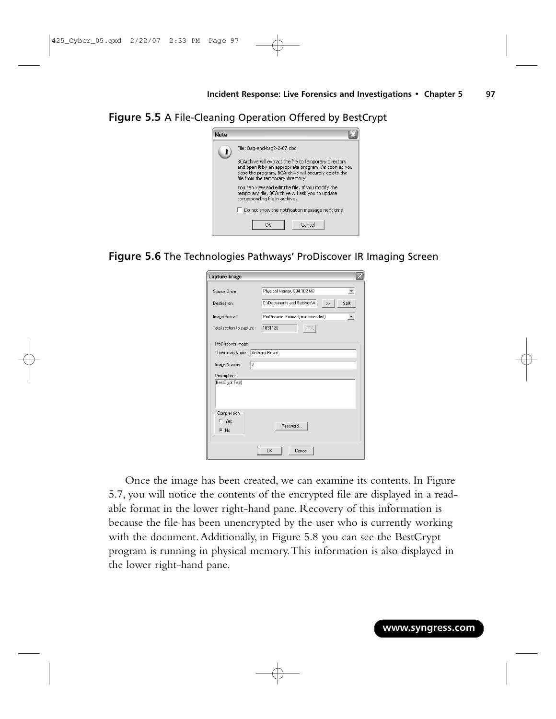**Figure 5.5** A File-Cleaning Operation Offered by BestCrypt



#### **Figure 5.6** The Technologies Pathways' ProDiscover IR Imaging Screen

| <b>Capture Image</b>                  |                                              |       |
|---------------------------------------|----------------------------------------------|-------|
| Source Drive                          | Physical Memory 894.102 MB                   |       |
| Destination:                          | C:\Documents and Settings\A<br>$\rightarrow$ | Split |
| Image Format:                         | ProDiscover Format (recommended)             |       |
| Total sectors to capture :            | 1831120<br>HPA                               |       |
| ProDiscover Image<br>Technician Name: | Anthony Reyes                                |       |
| 2<br>Image Number:                    |                                              |       |
| Description:<br>BestCrypt Test        |                                              |       |
| Compression<br>$C$ Yes<br>$F$ No      | Password                                     |       |
|                                       | 0K<br>Cancel                                 |       |

Once the image has been created, we can examine its contents. In Figure 5.7, you will notice the contents of the encrypted file are displayed in a readable format in the lower right-hand pane. Recovery of this information is because the file has been unencrypted by the user who is currently working with the document. Additionally, in Figure 5.8 you can see the BestCrypt program is running in physical memory.This information is also displayed in the lower right-hand pane.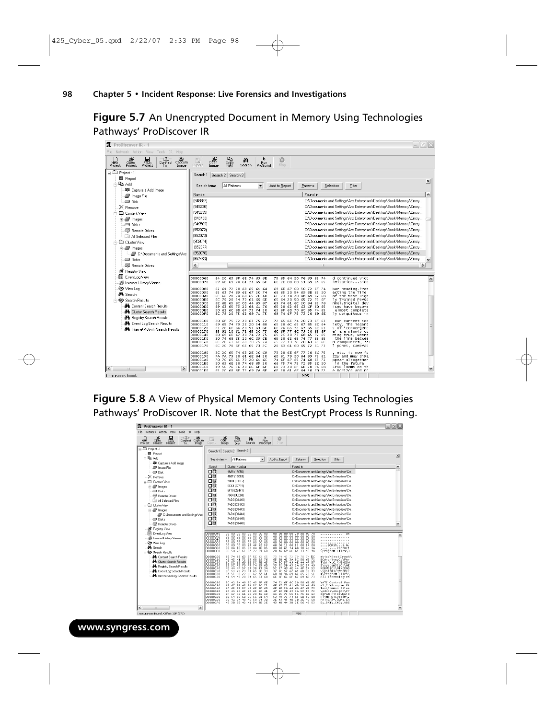

| <b>夏</b> ProDiscover IR - 1<br>Network Action View<br>Tools IR<br>File:<br>Help |                                                   |                                                                |                                                                                                   | $\mathbb{F}$ $\times$   |
|---------------------------------------------------------------------------------|---------------------------------------------------|----------------------------------------------------------------|---------------------------------------------------------------------------------------------------|-------------------------|
| New<br>open<br>Project<br>g<br>一日<br>Connect<br>capture                         | onen<br>$\frac{1}{2}$                             | GB.<br>đФ<br>Run                                               | ø                                                                                                 |                         |
| Save<br>Project<br>Project<br>Image<br>To<br>Project - 1                        | Export<br>Image<br>Search 1   Search 2   Search 3 | Copy<br>Disk<br>Search<br>ProScript                            | Stop                                                                                              |                         |
| 图 Report<br><b>中国 Add</b>                                                       | Search terms                                      | All Patterns<br>$\mathbf{r}$                                   | Add to Report<br>Patterns<br>Filter<br>Selection                                                  | ×                       |
| <b>ED</b> Capture & Add Image<br>T Image File                                   | Number                                            |                                                                | Found in                                                                                          | $\hat{\phantom{a}}$     |
| <b>Disk</b>                                                                     | (948887)                                          |                                                                | C:\Documents and Settings\Arc Enterprises\Desktop\Book\Memory\Encry                               |                         |
| $\times$ Remove                                                                 | (949236)                                          |                                                                | C:\Documents and Settings\Arc Enterprises\Desktop\Book\Memory\Encry                               |                         |
| Content View                                                                    | (949239)                                          |                                                                | C:\Documents and Settings\Arc Enterprises\Desktop\Book\Memory\Encry                               |                         |
| in and Images                                                                   | (949498)                                          |                                                                | C:\Documents and Settings\Arc Enterprises\Desktop\Book\Memorv\Encry                               |                         |
| Disks                                                                           | (949503)                                          |                                                                | C:\Documents and Settings\Arc Enterprises\Desktop\Book\Memory\Encry                               |                         |
| 是 Remote Drives                                                                 | (952072)                                          |                                                                | C:\Documents and Settings\Arc Enterprises\Desktop\Book\Memory\Encry                               |                         |
| All Selected Files                                                              | (952073)                                          |                                                                | C:\Documents and Settings\Arc Enterprises\Desktop\Book\Memory\Encry                               |                         |
| Cluster View                                                                    | (952074)                                          |                                                                | C:\Documents and Settings\Arc Enterprises\Desktop\Book\Memory\Encry                               |                         |
| in <i>a</i> Images                                                              | (952077)                                          |                                                                | C:\Documents and Settings\Arc Enterprises\Desktop\Book\Memory\Encry                               |                         |
| C:\Documents and Settings\Arc                                                   | (952078)                                          |                                                                | C:\Documents and Settings\Arc Enterprises\Desktop\Book\Memory\Encry                               |                         |
| Disks                                                                           | (952463)                                          |                                                                | C:\Documents and Settings\Arc Enterprises\Desktop\Book\Memory\Encry                               | $\overline{\mathbf{v}}$ |
| 是 Remote Drives                                                                 | $\left\langle \right\rangle$                      |                                                                | Ш                                                                                                 | $\,$                    |
| <b>All</b> Registry View                                                        |                                                   |                                                                |                                                                                                   |                         |
| 图 EventLog View                                                                 | 00000060<br>00000070                              | 64 20 63 6F 6E 74 69 6E<br>69 6D<br>69 7A 61 74<br>69 6F       | 75 65 64 20 76 69 63 74<br>d continued vict<br>6E 2E OD OD 53 69 64 65<br>imizationSide           |                         |
| B<br>Internet History Viewer<br><br><td></td> <td></td> <td></td> <td></td>     |                                                   |                                                                |                                                                                                   |                         |
| <b>M</b> Search                                                                 | 00000080<br>00000090<br>65                        | 62 61 72 20 68 65 61 64<br>63<br>74 69 6E 67 20 74             | 69 6E 67 0D 50 72 6F 74<br>bar heading Prot<br>68 65<br>20 54 69 6D 65 20<br>ecting the Time      |                         |
| 中心 Search Results                                                               | 000000A0<br>6F.<br>00000080                       | 66 20 74 68 65 20 40<br>6C 79 20 54 72 61 69 6E                | 73 74 20 48 69 67 68<br>6F<br>of the Most High<br>65 64 20 50 65 72 73 6F<br>ly Trained Perso     |                         |
| <b>M</b> Content Search Results                                                 | 000000C0<br>6E<br>00000000                        | 6E 65 6C 0D 44 69 67<br>69 63 65 73 20 68 61 76                | 69 74 61 6C 20 64 65 76<br>nnel.Digital dev<br>65 20 62 65 63 6F 6D 65<br>ices have become        |                         |
| <b>44</b> Cluster Search Results                                                | 000000E0<br>20                                    | 6C 6D 6F 73<br>74 20<br>61                                     | 63 6F<br>6D 70<br>6C 65 74 65<br>almost complete                                                  |                         |
| <b>44</b> Registry Search Results                                               | 000000F0                                          | 6C 79 20 75 62 69 71 75                                        | 69 74 6F 75 73 20 69 6E<br>lv ubiquitous in                                                       |                         |
| <b>44</b> Event Log Search Results                                              | 00000100<br>00000110                              | 20 6F 75 72 20<br>63 75 72<br>69 65<br>74 79 2E 20 54 68       | 72 65 6E 74 20 73 6F 63<br>our current soc<br>65 20 6C 65<br>67 65 6E 64<br>ietv. The legend      |                         |
| <b>44</b> Internet Activity Search Results                                      | 00000120<br>00000130<br>65.                       | 73 20<br>GF 66 20 91 63 6F<br>92 20 61 72 65 20 73             | s of 'convergenc<br>6E 76 65 72 67 65 6E 63<br>6C 6F 77 6C 79<br>20 63 6F<br>e' are slowly co     | $\equiv$                |
|                                                                                 | 00000140                                          | 6D 69 6E 67 20 74 72 75                                        | 65 2C 20 77 68 65 72 65<br>ming true, where                                                       |                         |
|                                                                                 | 00000150<br>00000160                              | 20 74 68 65 20 6C 69 6E<br>6E 20<br>63 6F<br>6D<br>70<br>75 74 | 65 20 62 65 74 77 65 65<br>the line betwee<br>73 2C 20<br>63 65 6C<br>65 72<br>n computers, cel   |                         |
|                                                                                 | 00000170                                          | 6C 20 70 6F 6E 65 73 2C                                        | 20 63 61 6D 65 72 61 73<br>1 pones, cameras                                                       |                         |
|                                                                                 | 00000180<br>00000190                              | 2C 20 65 74 63 2E 20 69<br>7A 7A 79 20 61 6E 64 20             | , etc. is now fu<br>73 20 6E 6F 77 20 66 75<br>6D 61 79 20 64 69 73 61<br>22V and may disa        |                         |
|                                                                                 | 000001A0                                          | 70 70 65 61 72 20 61 6C                                        | 74 6F 67 65 74 68 65 72<br>ppear altogether                                                       |                         |
| $\rightarrow$<br>$\leq$<br>m                                                    | 000001B0<br>20<br>000001C0<br>49                  | 69 6E 20 74 68 65 20<br>50 76 36 20 6C 6F 6F                   | 66 75 74 75 72<br>in the future.<br>65 2E 20<br>60 73 20 GF<br>6E<br>IPv6 looms on th<br>20 74 68 | $\check{ }$             |
|                                                                                 | loonnaann<br>65.                                  | 20 68 6F 72 69 7A 6F                                           | 6F 20 61 6F 64 20 70 72<br>e horizon and or                                                       |                         |
| 1 occurances found.                                                             |                                                   |                                                                | MD <sub>5</sub>                                                                                   |                         |

**Figure 5.8** A View of Physical Memory Contents Using Technologies Pathways' ProDiscover IR. Note that the BestCrypt Process Is Running.

| R.<br>ProDiscover IR - 1                                                                                                                                     |                      |                                                                            |                          |                                      |                                                    |                                                                                              | $  E $ $\times$     |
|--------------------------------------------------------------------------------------------------------------------------------------------------------------|----------------------|----------------------------------------------------------------------------|--------------------------|--------------------------------------|----------------------------------------------------|----------------------------------------------------------------------------------------------|---------------------|
| Network Action View<br>Tools IR Help<br>File                                                                                                                 |                      |                                                                            |                          |                                      |                                                    |                                                                                              |                     |
| $\frac{1}{\text{open}}$<br>$\overline{\mathbb{R}}$<br>$\frac{-13}{2}$ Connect<br>$\bigcap_{\substack{\mathsf{New} \\ \mathsf{Project}}}$<br>Capture<br>Image | 悶<br>Export          | open<br><b>Copy</b><br>Disk<br>鵺<br>Search<br>Image                        | Run<br>ProScript         | e<br>Stop                            |                                                    |                                                                                              |                     |
| □ Project - 1<br>图 Report                                                                                                                                    |                      | Search 1   Search 2   Search 3                                             |                          |                                      |                                                    |                                                                                              |                     |
| in Rin Add<br>单 Capture & Add Image                                                                                                                          | Search terms         | All Patterns                                                               | $\overline{\phantom{a}}$ | Add to Report                        | Patterns                                           | Filter<br>Selection                                                                          | $\mathbf{x}$        |
| <b>P</b> Image File                                                                                                                                          | Select               | Cluster Number                                                             |                          |                                      | Found in                                           |                                                                                              | $\hat{\phantom{a}}$ |
| <b>■</b> Disk                                                                                                                                                | 口證                   | 4688 (18056)                                                               |                          |                                      |                                                    | C:\Documents and Settings\Arc Enterprises\De                                                 |                     |
| $\times$ Remove                                                                                                                                              | 口渡                   | 46BF (18063)                                                               |                          |                                      |                                                    | C:\Documents and Settings\Arc Enterprises\De                                                 |                     |
| <b>Content View</b>                                                                                                                                          | 口跛                   | 5810 (23312)                                                               |                          |                                      |                                                    | C:\Documents and Settings\Arc Enterprises\De                                                 |                     |
| <b>ii</b> - <sup>2</sup> Images                                                                                                                              | 口躍                   | 6C43 (27715)                                                               |                          |                                      |                                                    | C:\Documents and Settings\Arc Enterprises\De                                                 |                     |
| Disks                                                                                                                                                        | 口證                   | 6F19 (28441)                                                               |                          |                                      |                                                    | C:\Documents and Settings\Arc Enterprises\De                                                 |                     |
| Remote Drives                                                                                                                                                | 口體                   | 7634 (30260)                                                               |                          |                                      |                                                    | C:\Documents and Settings\Arc Enterprises\De                                                 |                     |
| All Selected Files                                                                                                                                           | 口跛                   | 7AD0 (31440)                                                               |                          |                                      |                                                    | C:\Documents and Settings\Arc Enterprises\De                                                 |                     |
| - Cluster View                                                                                                                                               | 口躍                   | 7AD2 (31442)                                                               |                          |                                      |                                                    | C:\Documents and Settings\Arc Enterprises\De                                                 |                     |
| in <i>a</i> Images                                                                                                                                           | 口暖                   | 7AD3 (31443)                                                               |                          |                                      |                                                    | C:\Documents and Settings\Arc Enterprises\De                                                 |                     |
| C:\Documents and Settings\Arc                                                                                                                                | 口渡<br>口跛             | 7AD4 (31444)<br>7AD5 (31445)                                               |                          |                                      |                                                    | C:\Documents and Settings\Arc Enterprises\De                                                 |                     |
| <b>Disks</b>                                                                                                                                                 | 口裂                   | 7AD6 (31446)                                                               |                          |                                      |                                                    | C:\Documents and Settings\Arc Enterprises\De<br>C:\Documents and Settings\Arc Enterprises\De |                     |
| Remote Drives                                                                                                                                                |                      |                                                                            |                          |                                      |                                                    |                                                                                              | $\checkmark$        |
| <b>Registry View</b><br>EventLog View                                                                                                                        |                      |                                                                            |                          |                                      |                                                    |                                                                                              |                     |
| Internet History Viewer                                                                                                                                      | uuuuuu<br>000000A0   | UU UU UU UU UU UU UU UU<br>00 00 00 00 00 00 00 00                         |                          |                                      | UU UU UU UU ZU AU 9U 78<br>00 00 00 00 00 00 00 00 | <b>UX</b>                                                                                    | $\hat{\phantom{a}}$ |
| ইই View Log                                                                                                                                                  | 00000080<br>00000000 | 00.00.00.00.00.00.00.00<br>00<br>00<br>00<br>00 00 00 00 00                |                          | $00 -$<br>nn.<br>nn                  | 00.00.00.00.00.00<br>00 00 00 00 00 00 00          |                                                                                              |                     |
| <b>do</b> Seach                                                                                                                                              | 00000000<br>000000E0 | ŏŏ.<br>ŏŏ.<br>00<br>53<br>4F<br>00.<br>B <sub>8</sub><br>04<br>16<br>05 B8 | 52 53<br>04 1E 05        | 00 13<br>68<br>00<br>50              | 00 53<br>00<br>57 00<br>61 74 68<br>30<br>43 3A    | $\ldots$ sorsh $\ldots$ s.w.<br>$\ldots \ldots$ . Path=C:                                    |                     |
| <b>B</b> Search Results                                                                                                                                      | 000000F0             | SC 50 72 6F 67                                                             | 72 61 60                 | 46 69 60 65<br>20                    | 73 SC 4A                                           | \Program Files\J                                                                             |                     |
| <b>A</b> Content Search Results                                                                                                                              | 00000100             | 65<br>74<br>69<br>63<br>6F<br>5C                                           | 42 65                    | 43<br>74                             | 70 74 SC<br>79<br>72                               | etico\BestCrypt\                                                                             |                     |
| <b>44</b> Cluster Search Besults                                                                                                                             | 00000110<br>00000120 | 41<br>63<br>43<br>72<br>42<br>6C 5C 62 69                                  | 68 69 76<br>GE SC 3B 43  | 43<br>65.<br>38<br>3A SC 57 49 4E    | śč<br>3A<br>50.<br>65 72<br>44 4F 57               | BCAnchive:C:\Pen                                                                             |                     |
| <b>A</b> Registry Search Results                                                                                                                             | 00000130             | 53 SC 73 79 73 74 65 6D                                                    |                          |                                      | 33 32 38 43 3A 5C 57 49                            | 1\bin\;C:\WINDOW<br>S\system32:C:\WI                                                         |                     |
| <b>A</b> Event Log Search Results                                                                                                                            | 00000140<br>00000150 | 4E 44 4F 57 53 3B 43 3A<br>5C<br>53<br>79<br>73<br>74<br>65                | 60 33                    | 57 49 4E 44<br>5C.<br>5C<br>57<br>32 | 4F 57 53<br>65<br>62<br>60<br>3B 43                | NDOWS; C: \WINDOWS<br>\System32\Wbem:C                                                       |                     |
| <b>At</b> Internet Activity Search Results                                                                                                                   | 00000160<br>00000170 | $SC$ $SO$<br>72 GF<br>3.4<br>41 54 49 20 54<br>65                          | 67 72 61<br>63 68        | 20<br>46<br>60<br>6E<br>65<br>6C     | 69 6C 65 73<br>sc<br>6F<br>67<br>69 65 73          | :\Program Files\<br>ATI Technologies                                                         |                     |
|                                                                                                                                                              |                      |                                                                            |                          |                                      |                                                    |                                                                                              |                     |
|                                                                                                                                                              | 00000180<br>00000190 | 49<br>$SC$ $41$<br>54<br>20<br>43<br>65<br>6<<br>38<br>43<br>3A<br>5<      | 6F<br>6E<br>50 72        | 6F<br>74 72<br>67<br>72<br>6F        | $6C$ 20<br>50 61 6E<br>61 60<br>20 46 69           | \ATI Control Pan<br>el:C:\Program Fi                                                         |                     |
|                                                                                                                                                              | 000001A0<br>00000180 | 6C 6S 73 SC 43 6F 6D 6D<br>5C 41 64 6F 62 65 5C 41                         |                          | 6F<br>47                             | 6E 20 46 69 6C 65 73<br>4C 3B 43 3A 5C 50 72       | les\Common Files<br>\Adobe\AGL;C:\Pr                                                         |                     |
|                                                                                                                                                              | 000001C0             | 6F 67 72 61 6D 20 46 69                                                    |                          |                                      | 6C 6S 73 5C 51 75 69 63                            | ogram Files\Ouic                                                                             |                     |
|                                                                                                                                                              | 00000100<br>000001E0 | 54 69<br>6D 65<br>6B<br>41 54 48<br>45<br>50                               | SC 51 54<br>58 54 30     | 53<br>43 4F<br><b>SE</b>             | 79 73 74 65 6D SC 00<br>40 3B<br>2E 45<br>58       | kTime\QTSystem\.<br>PATHEXT=, COM; . EX                                                      |                     |
|                                                                                                                                                              | 000001F0             | 45 38 2E 42 41 54 3B 2E                                                    |                          |                                      | 43 40 44 3B 2E 56 42 53                            | E: . BAT: . CMD: . VBS                                                                       |                     |
| $\rightarrow$<br>$\overline{\phantom{a}}$<br>111                                                                                                             |                      |                                                                            |                          |                                      |                                                    |                                                                                              | v                   |
| 1 occurances found, Offset 10F (271)                                                                                                                         |                      |                                                                            |                          |                                      | MD5                                                |                                                                                              |                     |

,<br>1 occurances found. Offset 10F (271)

**www.syngress.com**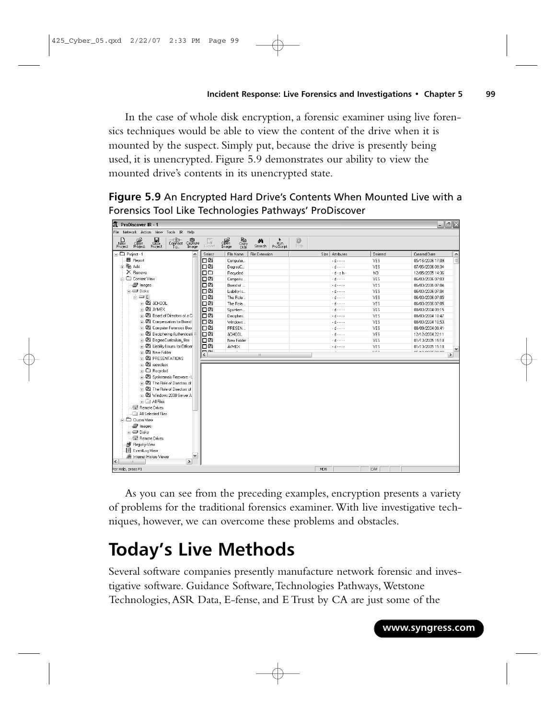In the case of whole disk encryption, a forensic examiner using live forensics techniques would be able to view the content of the drive when it is mounted by the suspect. Simply put, because the drive is presently being used, it is unencrypted. Figure 5.9 demonstrates our ability to view the mounted drive's contents in its unencrypted state.



| Tools IR Help<br>$\underset{\text{Project}}{\overset{\text{gen}}{\sum}}$<br>$\bigotimes_{\text{Image}}$<br>$\begin{array}{c}\n\hline\n\text{Save} \\ \text{Project}\n\end{array}$<br>New<br>Project<br>-C3)- COD<br>Connect Capture<br>To Image<br>$\begin{array}{c} \mathbb{B} \\ \mathbb{C}^{op}_{\mathsf{D} \mathsf{I} \mathsf{S} \mathsf{K}} \\ \mathbb{D} \mathsf{I} \mathsf{S} \mathsf{K} \end{array}$<br>ß<br>曌<br>é4<br>Run<br>ProScript<br>Stop<br>Search<br>Export<br>$\Box$ Project - 1<br>Size Attributes<br>Select<br>File Name<br>File Extension<br>Deleted<br>Created Date<br>↜<br>图 Report<br>⊡⊠<br>$\equiv$<br>، ، ، ، ق<br>YES<br>05/16/2006 17:09<br>Computer<br><sub>ਜ</sub> ਪੀ⊉ Add<br>⊠ם<br>، ، ، ، ، ،<br>YES<br>07/05/2006 09:34<br>DegreeC<br>$\times$ Remove<br>'nΦ<br>N <sub>0</sub><br>$-d \cdot sh \cdot$<br>12/05/2005 14:36<br>Recycled<br><b>E</b> Content View<br>◘⊗<br>.<br>YES<br>06/03/2006 07:03<br>Compens<br><b>P</b> Images<br>⊡⊠<br>$-1$<br>Board of<br>YES<br>06/03/2006 07:04<br><b>A</b> Disks<br>⊡⊠<br>۰۵ - ۰ - ۰<br>YES<br>Liability Is<br>06/03/2006 07:04<br>$\Rightarrow E$<br>⊠ם<br>۰،۰۰۰ .<br>YES<br>06/03/2006 07:05<br>The Role<br>+ 22 åCHOOL<br>⊡⊠<br>YES<br>The Role<br>۰۵ - ۰ - ۰<br>06/03/2006 07:05<br>+ 23 äYMEX<br>⊡⊠<br>YES<br>۰۵ - ۰ - ۰<br>08/03/2004 09:15<br>Sysintern<br>Board of Directors of a C<br>⊡⊠<br>$-d \cdots$<br>Decipheri<br>YES<br>08/03/2004 10:47<br>南<br>Compensation for Board<br>ПØ<br>Windows<br>$\cdot$ d $\cdot$ $\cdot$ $\cdot$<br>YES<br>08/03/2004 10:53<br>审<br>Computer Forensics Boo<br>◘⊗<br>PRESEN<br>$\cdot$ d $\cdot$ $\cdot$ $\cdot$<br>YES<br>08/09/2004 09:41<br>⊠ם<br>Deciphering Authenticati<br><b>ACHOOL</b><br>$\cdot$ d $\cdot$ $\cdot$ $\cdot$<br>YES<br>Ė<br>12/12/2004 22:11<br>◘⊠<br>DegreeCurriculum files<br>YES<br>New Folder<br>$-d \cdots$<br>01/13/2005 15:18<br>中<br>Liability Issues for Officer<br>◘⊠<br>$-d \cdots$<br>中。<br>äYMEX<br>YES<br>01/13/2005 15:18 | 2 ProDiscover IR - 1                     |  |  | $\lVert \mathbf{e} \rVert \times$<br>$\sim$ |
|---------------------------------------------------------------------------------------------------------------------------------------------------------------------------------------------------------------------------------------------------------------------------------------------------------------------------------------------------------------------------------------------------------------------------------------------------------------------------------------------------------------------------------------------------------------------------------------------------------------------------------------------------------------------------------------------------------------------------------------------------------------------------------------------------------------------------------------------------------------------------------------------------------------------------------------------------------------------------------------------------------------------------------------------------------------------------------------------------------------------------------------------------------------------------------------------------------------------------------------------------------------------------------------------------------------------------------------------------------------------------------------------------------------------------------------------------------------------------------------------------------------------------------------------------------------------------------------------------------------------------------------------------------------------------------------------------------------------------------------------------------------------------------------------------------------------------------------------------------------------------------------------------------------------------------------------------------------------------------------|------------------------------------------|--|--|---------------------------------------------|
|                                                                                                                                                                                                                                                                                                                                                                                                                                                                                                                                                                                                                                                                                                                                                                                                                                                                                                                                                                                                                                                                                                                                                                                                                                                                                                                                                                                                                                                                                                                                                                                                                                                                                                                                                                                                                                                                                                                                                                                       | File Network Action View                 |  |  |                                             |
|                                                                                                                                                                                                                                                                                                                                                                                                                                                                                                                                                                                                                                                                                                                                                                                                                                                                                                                                                                                                                                                                                                                                                                                                                                                                                                                                                                                                                                                                                                                                                                                                                                                                                                                                                                                                                                                                                                                                                                                       |                                          |  |  |                                             |
|                                                                                                                                                                                                                                                                                                                                                                                                                                                                                                                                                                                                                                                                                                                                                                                                                                                                                                                                                                                                                                                                                                                                                                                                                                                                                                                                                                                                                                                                                                                                                                                                                                                                                                                                                                                                                                                                                                                                                                                       |                                          |  |  |                                             |
|                                                                                                                                                                                                                                                                                                                                                                                                                                                                                                                                                                                                                                                                                                                                                                                                                                                                                                                                                                                                                                                                                                                                                                                                                                                                                                                                                                                                                                                                                                                                                                                                                                                                                                                                                                                                                                                                                                                                                                                       |                                          |  |  |                                             |
|                                                                                                                                                                                                                                                                                                                                                                                                                                                                                                                                                                                                                                                                                                                                                                                                                                                                                                                                                                                                                                                                                                                                                                                                                                                                                                                                                                                                                                                                                                                                                                                                                                                                                                                                                                                                                                                                                                                                                                                       |                                          |  |  |                                             |
|                                                                                                                                                                                                                                                                                                                                                                                                                                                                                                                                                                                                                                                                                                                                                                                                                                                                                                                                                                                                                                                                                                                                                                                                                                                                                                                                                                                                                                                                                                                                                                                                                                                                                                                                                                                                                                                                                                                                                                                       |                                          |  |  |                                             |
|                                                                                                                                                                                                                                                                                                                                                                                                                                                                                                                                                                                                                                                                                                                                                                                                                                                                                                                                                                                                                                                                                                                                                                                                                                                                                                                                                                                                                                                                                                                                                                                                                                                                                                                                                                                                                                                                                                                                                                                       |                                          |  |  |                                             |
|                                                                                                                                                                                                                                                                                                                                                                                                                                                                                                                                                                                                                                                                                                                                                                                                                                                                                                                                                                                                                                                                                                                                                                                                                                                                                                                                                                                                                                                                                                                                                                                                                                                                                                                                                                                                                                                                                                                                                                                       |                                          |  |  |                                             |
|                                                                                                                                                                                                                                                                                                                                                                                                                                                                                                                                                                                                                                                                                                                                                                                                                                                                                                                                                                                                                                                                                                                                                                                                                                                                                                                                                                                                                                                                                                                                                                                                                                                                                                                                                                                                                                                                                                                                                                                       |                                          |  |  |                                             |
|                                                                                                                                                                                                                                                                                                                                                                                                                                                                                                                                                                                                                                                                                                                                                                                                                                                                                                                                                                                                                                                                                                                                                                                                                                                                                                                                                                                                                                                                                                                                                                                                                                                                                                                                                                                                                                                                                                                                                                                       |                                          |  |  |                                             |
|                                                                                                                                                                                                                                                                                                                                                                                                                                                                                                                                                                                                                                                                                                                                                                                                                                                                                                                                                                                                                                                                                                                                                                                                                                                                                                                                                                                                                                                                                                                                                                                                                                                                                                                                                                                                                                                                                                                                                                                       |                                          |  |  |                                             |
|                                                                                                                                                                                                                                                                                                                                                                                                                                                                                                                                                                                                                                                                                                                                                                                                                                                                                                                                                                                                                                                                                                                                                                                                                                                                                                                                                                                                                                                                                                                                                                                                                                                                                                                                                                                                                                                                                                                                                                                       |                                          |  |  |                                             |
|                                                                                                                                                                                                                                                                                                                                                                                                                                                                                                                                                                                                                                                                                                                                                                                                                                                                                                                                                                                                                                                                                                                                                                                                                                                                                                                                                                                                                                                                                                                                                                                                                                                                                                                                                                                                                                                                                                                                                                                       |                                          |  |  |                                             |
|                                                                                                                                                                                                                                                                                                                                                                                                                                                                                                                                                                                                                                                                                                                                                                                                                                                                                                                                                                                                                                                                                                                                                                                                                                                                                                                                                                                                                                                                                                                                                                                                                                                                                                                                                                                                                                                                                                                                                                                       |                                          |  |  |                                             |
|                                                                                                                                                                                                                                                                                                                                                                                                                                                                                                                                                                                                                                                                                                                                                                                                                                                                                                                                                                                                                                                                                                                                                                                                                                                                                                                                                                                                                                                                                                                                                                                                                                                                                                                                                                                                                                                                                                                                                                                       |                                          |  |  |                                             |
|                                                                                                                                                                                                                                                                                                                                                                                                                                                                                                                                                                                                                                                                                                                                                                                                                                                                                                                                                                                                                                                                                                                                                                                                                                                                                                                                                                                                                                                                                                                                                                                                                                                                                                                                                                                                                                                                                                                                                                                       |                                          |  |  |                                             |
|                                                                                                                                                                                                                                                                                                                                                                                                                                                                                                                                                                                                                                                                                                                                                                                                                                                                                                                                                                                                                                                                                                                                                                                                                                                                                                                                                                                                                                                                                                                                                                                                                                                                                                                                                                                                                                                                                                                                                                                       |                                          |  |  |                                             |
|                                                                                                                                                                                                                                                                                                                                                                                                                                                                                                                                                                                                                                                                                                                                                                                                                                                                                                                                                                                                                                                                                                                                                                                                                                                                                                                                                                                                                                                                                                                                                                                                                                                                                                                                                                                                                                                                                                                                                                                       |                                          |  |  |                                             |
| ᄛ<br>on Hollmann on an<br>New Folder<br>1.07 <sub>m</sub><br>Ė<br>$\overline{\mathbf{Q}}$<br><b>III</b>                                                                                                                                                                                                                                                                                                                                                                                                                                                                                                                                                                                                                                                                                                                                                                                                                                                                                                                                                                                                                                                                                                                                                                                                                                                                                                                                                                                                                                                                                                                                                                                                                                                                                                                                                                                                                                                                               |                                          |  |  |                                             |
| <b>ZE PRESENTATIONS</b><br><b>Z</b> i raceclass<br>南<br>Recycled<br>Ėŀ.<br>Sysinternals Freeware - L<br>The Role of Directors of<br>The Role of Directors of<br>中心 Windows 2000 Server A<br>$\overline{+}$ $\overline{=}$ All Files<br>是 Remote Drives<br>All Selected Files<br>□ Cluster View<br><b>P</b> Images<br><b>File</b> Disks<br>- Remote Drives<br><b>Registry View</b><br>EventLog View<br>v<br>Internet History Viewer                                                                                                                                                                                                                                                                                                                                                                                                                                                                                                                                                                                                                                                                                                                                                                                                                                                                                                                                                                                                                                                                                                                                                                                                                                                                                                                                                                                                                                                                                                                                                    |                                          |  |  |                                             |
| $\blacktriangleright$<br>Ш<br>MD5<br>CAP                                                                                                                                                                                                                                                                                                                                                                                                                                                                                                                                                                                                                                                                                                                                                                                                                                                                                                                                                                                                                                                                                                                                                                                                                                                                                                                                                                                                                                                                                                                                                                                                                                                                                                                                                                                                                                                                                                                                              | $ \langle \cdot  $<br>For Help, press F1 |  |  |                                             |

As you can see from the preceding examples, encryption presents a variety of problems for the traditional forensics examiner. With live investigative techniques, however, we can overcome these problems and obstacles.

## **Today's Live Methods**

Several software companies presently manufacture network forensic and investigative software. Guidance Software,Technologies Pathways, Wetstone Technologies,ASR Data, E-fense, and E Trust by CA are just some of the

**www.syngress.com**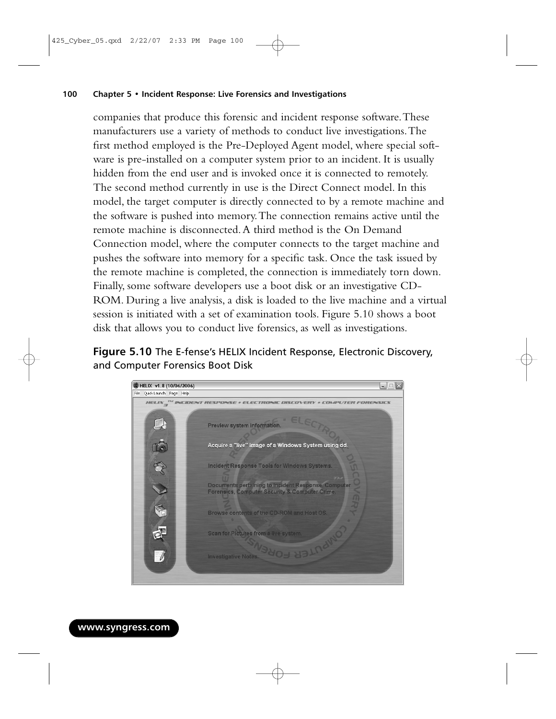#### **100 Chapter 5 • Incident Response: Live Forensics and Investigations**

companies that produce this forensic and incident response software.These manufacturers use a variety of methods to conduct live investigations.The first method employed is the Pre-Deployed Agent model, where special software is pre-installed on a computer system prior to an incident. It is usually hidden from the end user and is invoked once it is connected to remotely. The second method currently in use is the Direct Connect model. In this model, the target computer is directly connected to by a remote machine and the software is pushed into memory.The connection remains active until the remote machine is disconnected.A third method is the On Demand Connection model, where the computer connects to the target machine and pushes the software into memory for a specific task. Once the task issued by the remote machine is completed, the connection is immediately torn down. Finally, some software developers use a boot disk or an investigative CD-ROM. During a live analysis, a disk is loaded to the live machine and a virtual session is initiated with a set of examination tools. Figure 5.10 shows a boot disk that allows you to conduct live forensics, as well as investigations.

#### **Figure 5.10** The E-fense's HELIX Incident Response, Electronic Discovery, and Computer Forensics Boot Disk

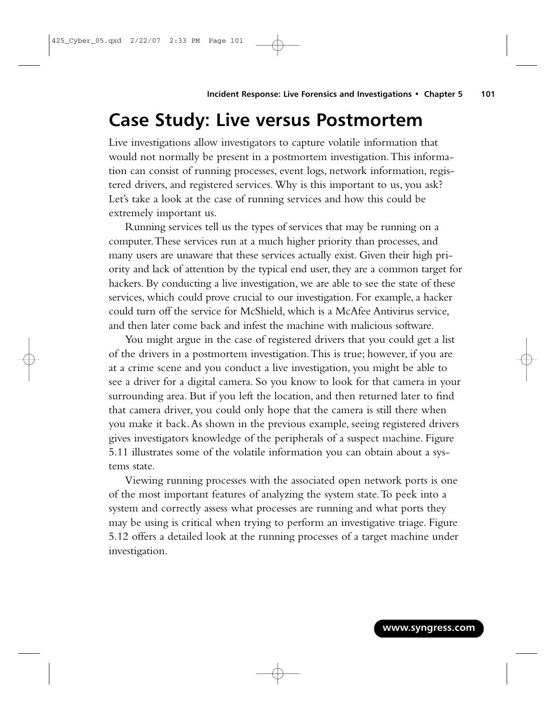### **Case Study: Live versus Postmortem**

Live investigations allow investigators to capture volatile information that would not normally be present in a postmortem investigation.This information can consist of running processes, event logs, network information, registered drivers, and registered services. Why is this important to us, you ask? Let's take a look at the case of running services and how this could be extremely important us.

Running services tell us the types of services that may be running on a computer.These services run at a much higher priority than processes, and many users are unaware that these services actually exist. Given their high priority and lack of attention by the typical end user, they are a common target for hackers. By conducting a live investigation, we are able to see the state of these services, which could prove crucial to our investigation. For example, a hacker could turn off the service for McShield, which is a McAfee Antivirus service, and then later come back and infest the machine with malicious software.

You might argue in the case of registered drivers that you could get a list of the drivers in a postmortem investigation.This is true; however, if you are at a crime scene and you conduct a live investigation, you might be able to see a driver for a digital camera. So you know to look for that camera in your surrounding area. But if you left the location, and then returned later to find that camera driver, you could only hope that the camera is still there when you make it back.As shown in the previous example, seeing registered drivers gives investigators knowledge of the peripherals of a suspect machine. Figure 5.11 illustrates some of the volatile information you can obtain about a systems state.

Viewing running processes with the associated open network ports is one of the most important features of analyzing the system state.To peek into a system and correctly assess what processes are running and what ports they may be using is critical when trying to perform an investigative triage. Figure 5.12 offers a detailed look at the running processes of a target machine under investigation.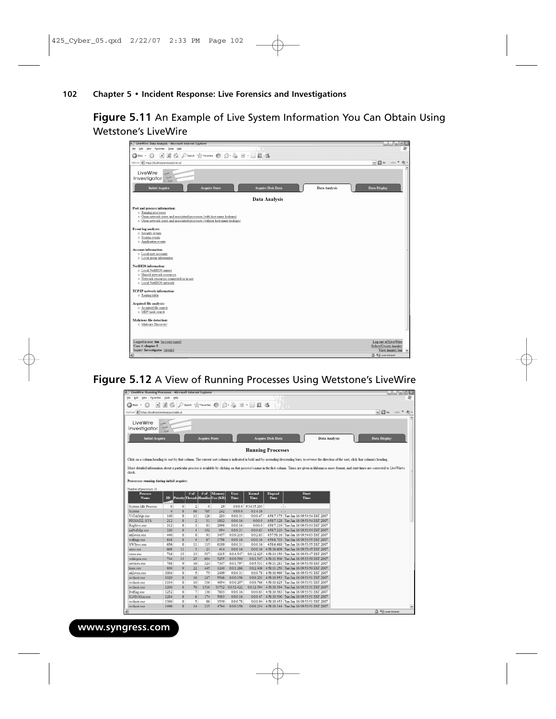**Figure 5.11** An Example of Live System Information You Can Obtain Using Wetstone's LiveWire

| E LiveWire: Data Analysis - Microsoft Internet Explorer                                                                                                                    | d3                                           |
|----------------------------------------------------------------------------------------------------------------------------------------------------------------------------|----------------------------------------------|
| View Favorites Tools<br>File<br>Edit<br>Help                                                                                                                               |                                              |
| ○search ☆Favorites ④ Q - 忌 回 - □設 名<br>a a<br><b>OBook</b> →<br>$\infty$<br>$\odot$<br>$\sim$                                                                              |                                              |
| Address @ https://localhost/analysis/enter.pl                                                                                                                              |                                              |
| LiveWire<br>Investigator<br><b>County</b><br><b>Since</b><br><b>Initial Acquire</b><br><b>Acquire Disk Data</b><br>Data Analysis<br><b>Acquire State</b>                   | ۸<br><b>Data Display</b>                     |
| Data Analysis                                                                                                                                                              |                                              |
| Port and process information:                                                                                                                                              |                                              |
| o Running processes<br>o Open network ports and associated processes (with host name lookups)<br>o Open network ports and associated processes (without host name lookups) |                                              |
| Event log analysis:<br>o Security events<br>o System events<br>o Application events                                                                                        |                                              |
| Account information:<br>o Local user accounts<br>o Local group information                                                                                                 |                                              |
| NetBIOS information:<br>o Local NetBIOS names<br>o Shared network resources<br>o Network resources connected or in use<br>o Local NetBIOS network                          |                                              |
| <b>TCP/IP</b> network information:<br>o Routing table                                                                                                                      |                                              |
| Acquired file analysis:<br>o Acquired file search<br>o MD5 hash search                                                                                                     |                                              |
| <b>Malicious file detection:</b><br>o Malware Discovery                                                                                                                    |                                              |
| Logged in user: tim [account mgmt]<br>Case #: chapter 5                                                                                                                    | Log out of LiveWire<br>Select/Create inquiry |
| Inquiry: Investigator [details]                                                                                                                                            | View inquiry log                             |
|                                                                                                                                                                            | A Velocal intranet                           |

#### **Figure 5.12** A View of Running Processes Using Wetstone's LiveWire

| Edit<br><b>New</b><br>Favorites<br>Tools<br>Help<br><b>Ble</b><br>$\boldsymbol{z}$<br>$ \varkappa $<br>Back<br>Address @ https://localhost/analysis/proctable.pl<br>LiveWire<br>Investigator<br><b>Visit</b><br><b>Sect</b><br><b>Initial Acquire</b><br>clock.<br>Processes running during initial acquire:<br>Number of processes: 41<br>Process<br>Name<br>ID<br>System Idle Process<br>$\mathbf{0}$<br>$\ddot{\phantom{0}}$<br>$\boldsymbol{s}$<br>$\overline{4}$<br>System<br>8<br>VsTskMgr.exe<br>140<br>$\bf 8$<br>PRISMXL.SYS<br>212<br>RegSrvc.exe<br>8<br>312<br>8<br>naPrdMgr.exe<br>320<br>ati2evxx.exe<br>440<br>8<br>8<br>wdfmgr.exe<br>616<br>8<br>SWSrvc.exe<br>656<br>11<br>668<br>smss.exe<br>13<br>716<br>csrss.exe<br>13<br>744<br>winlogon.exe<br>788<br>9 | $#$ of<br>$\overline{2}$<br>86<br>11<br>$\overline{2}$ | Search Siz Favorites (2)<br><b>Acquire State</b><br># of<br>Priority Threads Handles Use (KB)<br>$\theta$<br>765<br>126<br>31 | Memory<br>29<br>242<br>283 | User<br>Time<br>0:0:0.0<br>0:0:0.31 | $\bigcirc \cdot \subseteq \mathbb{R}$ . $\Box$ $\Box$ $\Box$<br>Kernel<br>Time<br>0:0:0.0 9:34:35.203<br>0:1:4.16 | <b>Acquire Disk Data</b><br><b>Running Processes</b><br><b>Elapsed</b><br>Time<br>- 14 | Data Analysis<br><b>Start</b><br>Time<br>- 1-       | v D Go Linis <sup>39</sup><br>$\mathfrak{D}$ .<br><b>Data Display</b><br>Click on a column heading to sort by that column. The current sort column is indicated in bold and by ascending/descending bars; to reverse the direction of the sort, click that column's heading<br>More detailed information about a particular process is available by clicking on that process's name in the first column. Times are given in hhhmm:ss.msec format, and start times are corrected to LiveWire's |
|---------------------------------------------------------------------------------------------------------------------------------------------------------------------------------------------------------------------------------------------------------------------------------------------------------------------------------------------------------------------------------------------------------------------------------------------------------------------------------------------------------------------------------------------------------------------------------------------------------------------------------------------------------------------------------------------------------------------------------------------------------------------------------|--------------------------------------------------------|-------------------------------------------------------------------------------------------------------------------------------|----------------------------|-------------------------------------|-------------------------------------------------------------------------------------------------------------------|----------------------------------------------------------------------------------------|-----------------------------------------------------|-----------------------------------------------------------------------------------------------------------------------------------------------------------------------------------------------------------------------------------------------------------------------------------------------------------------------------------------------------------------------------------------------------------------------------------------------------------------------------------------------|
|                                                                                                                                                                                                                                                                                                                                                                                                                                                                                                                                                                                                                                                                                                                                                                                 |                                                        |                                                                                                                               |                            |                                     |                                                                                                                   |                                                                                        |                                                     |                                                                                                                                                                                                                                                                                                                                                                                                                                                                                               |
|                                                                                                                                                                                                                                                                                                                                                                                                                                                                                                                                                                                                                                                                                                                                                                                 |                                                        |                                                                                                                               |                            |                                     |                                                                                                                   |                                                                                        |                                                     |                                                                                                                                                                                                                                                                                                                                                                                                                                                                                               |
|                                                                                                                                                                                                                                                                                                                                                                                                                                                                                                                                                                                                                                                                                                                                                                                 |                                                        |                                                                                                                               |                            |                                     |                                                                                                                   |                                                                                        |                                                     |                                                                                                                                                                                                                                                                                                                                                                                                                                                                                               |
|                                                                                                                                                                                                                                                                                                                                                                                                                                                                                                                                                                                                                                                                                                                                                                                 |                                                        |                                                                                                                               |                            |                                     |                                                                                                                   |                                                                                        |                                                     |                                                                                                                                                                                                                                                                                                                                                                                                                                                                                               |
|                                                                                                                                                                                                                                                                                                                                                                                                                                                                                                                                                                                                                                                                                                                                                                                 |                                                        |                                                                                                                               |                            |                                     |                                                                                                                   |                                                                                        |                                                     |                                                                                                                                                                                                                                                                                                                                                                                                                                                                                               |
|                                                                                                                                                                                                                                                                                                                                                                                                                                                                                                                                                                                                                                                                                                                                                                                 |                                                        |                                                                                                                               |                            |                                     |                                                                                                                   |                                                                                        |                                                     |                                                                                                                                                                                                                                                                                                                                                                                                                                                                                               |
|                                                                                                                                                                                                                                                                                                                                                                                                                                                                                                                                                                                                                                                                                                                                                                                 |                                                        |                                                                                                                               |                            |                                     |                                                                                                                   |                                                                                        |                                                     |                                                                                                                                                                                                                                                                                                                                                                                                                                                                                               |
|                                                                                                                                                                                                                                                                                                                                                                                                                                                                                                                                                                                                                                                                                                                                                                                 |                                                        |                                                                                                                               |                            |                                     |                                                                                                                   |                                                                                        |                                                     |                                                                                                                                                                                                                                                                                                                                                                                                                                                                                               |
|                                                                                                                                                                                                                                                                                                                                                                                                                                                                                                                                                                                                                                                                                                                                                                                 |                                                        |                                                                                                                               |                            |                                     |                                                                                                                   |                                                                                        |                                                     |                                                                                                                                                                                                                                                                                                                                                                                                                                                                                               |
|                                                                                                                                                                                                                                                                                                                                                                                                                                                                                                                                                                                                                                                                                                                                                                                 |                                                        |                                                                                                                               |                            |                                     |                                                                                                                   |                                                                                        |                                                     |                                                                                                                                                                                                                                                                                                                                                                                                                                                                                               |
|                                                                                                                                                                                                                                                                                                                                                                                                                                                                                                                                                                                                                                                                                                                                                                                 |                                                        |                                                                                                                               |                            |                                     | 0:0:0.47                                                                                                          |                                                                                        | 458:7.375 Tue Jan 16 09:53:54 EST 2007              |                                                                                                                                                                                                                                                                                                                                                                                                                                                                                               |
|                                                                                                                                                                                                                                                                                                                                                                                                                                                                                                                                                                                                                                                                                                                                                                                 |                                                        |                                                                                                                               | 1802                       | 0:0:0.16                            | 0:0:0.0                                                                                                           |                                                                                        | 458:7.328 Tue Jan 16 09:53:54 EST 2007              |                                                                                                                                                                                                                                                                                                                                                                                                                                                                                               |
|                                                                                                                                                                                                                                                                                                                                                                                                                                                                                                                                                                                                                                                                                                                                                                                 | 3                                                      | 81                                                                                                                            | 2998                       | 0:0:0.16                            | 0:0:0.0                                                                                                           |                                                                                        | 458:7.219 Tue Jan 16 09:53:54 EST 2007              |                                                                                                                                                                                                                                                                                                                                                                                                                                                                                               |
|                                                                                                                                                                                                                                                                                                                                                                                                                                                                                                                                                                                                                                                                                                                                                                                 | $\overline{4}$                                         | 102                                                                                                                           | 954                        | 0:0:0.31                            | 0:0:0.63                                                                                                          |                                                                                        | 458:7.219 Tue Jan 16 09:53:54 EST 2007              |                                                                                                                                                                                                                                                                                                                                                                                                                                                                                               |
|                                                                                                                                                                                                                                                                                                                                                                                                                                                                                                                                                                                                                                                                                                                                                                                 | 8                                                      | 91                                                                                                                            | 3457                       | 0:0:0.219                           | 0:0:2.63                                                                                                          |                                                                                        | 457:58.16 Tue Jan 16 09:54:03 EST 2007              |                                                                                                                                                                                                                                                                                                                                                                                                                                                                                               |
|                                                                                                                                                                                                                                                                                                                                                                                                                                                                                                                                                                                                                                                                                                                                                                                 | $\overline{4}$                                         | 67                                                                                                                            | 1798                       | 0:0:0.16                            | 0:0:0.16                                                                                                          |                                                                                        | 458:6.703 Tue Jan 16 09:53:55 EST 2007              |                                                                                                                                                                                                                                                                                                                                                                                                                                                                                               |
|                                                                                                                                                                                                                                                                                                                                                                                                                                                                                                                                                                                                                                                                                                                                                                                 | 11                                                     | 115                                                                                                                           | 6189                       | 0:0:0.31                            | 0:0:0.16                                                                                                          |                                                                                        | 458:6.688 Tue Jan 16 09:53:55 EST 2007              |                                                                                                                                                                                                                                                                                                                                                                                                                                                                                               |
|                                                                                                                                                                                                                                                                                                                                                                                                                                                                                                                                                                                                                                                                                                                                                                                 | $\overline{3}$                                         | 21                                                                                                                            | 414                        | 0:0:0.16                            | 0:0:0.16                                                                                                          |                                                                                        | 4:58:16.609 Tue Jan 16 09:53:45 EST 2007            |                                                                                                                                                                                                                                                                                                                                                                                                                                                                                               |
|                                                                                                                                                                                                                                                                                                                                                                                                                                                                                                                                                                                                                                                                                                                                                                                 | 13                                                     | 537                                                                                                                           | 4215                       | 0:0:4.547                           |                                                                                                                   |                                                                                        | 0:0:12.625 4:58:14.359 Tue Jan 16 09:53:47 EST 2007 |                                                                                                                                                                                                                                                                                                                                                                                                                                                                                               |
|                                                                                                                                                                                                                                                                                                                                                                                                                                                                                                                                                                                                                                                                                                                                                                                 | 25                                                     | 604                                                                                                                           | 5255                       | 0:0:0.500                           |                                                                                                                   |                                                                                        | 0:0:1.547 4:58:11.906 Tue Jan 16 09:53:50 EST 2007  |                                                                                                                                                                                                                                                                                                                                                                                                                                                                                               |
| services.exe                                                                                                                                                                                                                                                                                                                                                                                                                                                                                                                                                                                                                                                                                                                                                                    | 16                                                     | 324                                                                                                                           | 7307                       | 0:0:1.797                           |                                                                                                                   |                                                                                        | 0:0:5.531 4:58:11.281 Tue Jan 16 09:53:50 EST 2007  |                                                                                                                                                                                                                                                                                                                                                                                                                                                                                               |
| 800<br>9<br>Isass.exe                                                                                                                                                                                                                                                                                                                                                                                                                                                                                                                                                                                                                                                                                                                                                           | 22                                                     | 445                                                                                                                           | 3240                       | 0:0:1.266                           |                                                                                                                   |                                                                                        | 0:0:2.406 4:58:11.250 Tue Jan 16 09:53:50 EST 2007  |                                                                                                                                                                                                                                                                                                                                                                                                                                                                                               |
| 8<br>1004<br>ati2evxx.exe                                                                                                                                                                                                                                                                                                                                                                                                                                                                                                                                                                                                                                                                                                                                                       | 5                                                      | 75                                                                                                                            | 2499                       | 0:0:0.31                            |                                                                                                                   |                                                                                        | 0:0:0.78 4:58:10.969 Tue Jan 16 09:53:51 EST 2007   |                                                                                                                                                                                                                                                                                                                                                                                                                                                                                               |
| $\boldsymbol{s}$<br>1020<br>sychost.exe                                                                                                                                                                                                                                                                                                                                                                                                                                                                                                                                                                                                                                                                                                                                         | 16                                                     | 247                                                                                                                           | 5546                       | 0:0:0.156                           |                                                                                                                   |                                                                                        | 0:0:0.203 4:58:10.953 Tue Jan 16 09:53:51 EST 2007  |                                                                                                                                                                                                                                                                                                                                                                                                                                                                                               |
| 8<br>sychost.exe<br>1104                                                                                                                                                                                                                                                                                                                                                                                                                                                                                                                                                                                                                                                                                                                                                        | 10                                                     | 336                                                                                                                           | 4854                       | 0:0:0.297                           |                                                                                                                   |                                                                                        | 0:0:0.766 4:58:10.625 Tue Jan 16 09:53:51 EST 2007  |                                                                                                                                                                                                                                                                                                                                                                                                                                                                                               |
| $\boldsymbol{s}$<br>1200<br>sychost.exe                                                                                                                                                                                                                                                                                                                                                                                                                                                                                                                                                                                                                                                                                                                                         | 76                                                     | 1516                                                                                                                          | 31732                      | 0:0:52.422                          |                                                                                                                   |                                                                                        | 0:0:12.594 4:58:10.594 Tue Jan 16 09:53:51 EST 2007 |                                                                                                                                                                                                                                                                                                                                                                                                                                                                                               |
| 8<br>EvtEng.exe<br>1252                                                                                                                                                                                                                                                                                                                                                                                                                                                                                                                                                                                                                                                                                                                                                         | 7                                                      | 136                                                                                                                           | 7803                       | 0:0:0.16                            |                                                                                                                   |                                                                                        | 0:0:0.63 4:58:10.563 Tue Jan 16 09:53:51 EST 2007   |                                                                                                                                                                                                                                                                                                                                                                                                                                                                                               |
| S24EvMon.exe<br>1284<br>$\boldsymbol{s}$                                                                                                                                                                                                                                                                                                                                                                                                                                                                                                                                                                                                                                                                                                                                        | 6                                                      | 174                                                                                                                           | 5083                       | 0:0:0.16                            |                                                                                                                   |                                                                                        | 0:0:0.47 4:58:10.500 Tue Jan 16 09:53:51 EST 2007   |                                                                                                                                                                                                                                                                                                                                                                                                                                                                                               |
| $\overline{\mathbf{s}}$<br>sychost.exe<br>1360                                                                                                                                                                                                                                                                                                                                                                                                                                                                                                                                                                                                                                                                                                                                  |                                                        | 86                                                                                                                            | 3539                       | 0:0:0.78                            |                                                                                                                   |                                                                                        | 0:0:0.94 4:58:10.453 Tue Jan 16 09:53:51 EST 2007   |                                                                                                                                                                                                                                                                                                                                                                                                                                                                                               |
| sychost.exe<br>1496<br>$\boldsymbol{s}$                                                                                                                                                                                                                                                                                                                                                                                                                                                                                                                                                                                                                                                                                                                                         | 5<br>14                                                | 215                                                                                                                           | 4764                       | 0:0:0.156                           |                                                                                                                   |                                                                                        | 0:0:0.234 4:58:10.344 Tue Jan 16 09:53:51 EST 2007  |                                                                                                                                                                                                                                                                                                                                                                                                                                                                                               |

**www.syngress.com**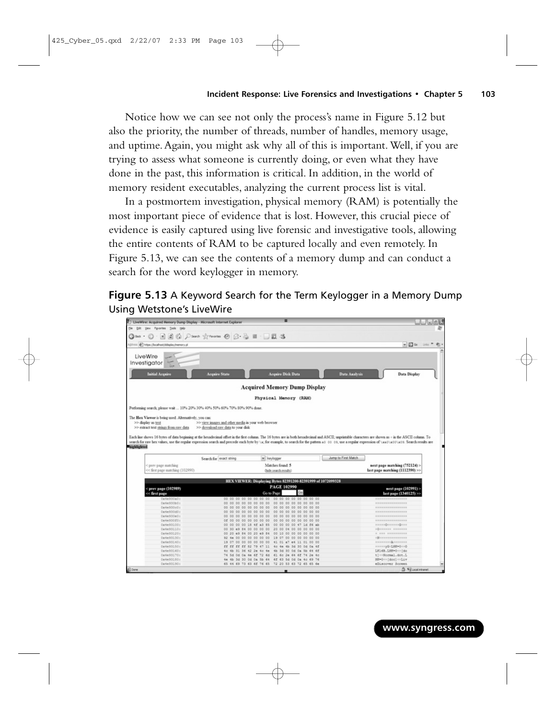Notice how we can see not only the process's name in Figure 5.12 but also the priority, the number of threads, number of handles, memory usage, and uptime.Again, you might ask why all of this is important. Well, if you are trying to assess what someone is currently doing, or even what they have done in the past, this information is critical. In addition, in the world of memory resident executables, analyzing the current process list is vital.

In a postmortem investigation, physical memory (RAM) is potentially the most important piece of evidence that is lost. However, this crucial piece of evidence is easily captured using live forensic and investigative tools, allowing the entire contents of RAM to be captured locally and even remotely. In Figure 5.13, we can see the contents of a memory dump and can conduct a search for the word keylogger in memory.

#### **Figure 5.13** A Keyword Search for the Term Keylogger in a Memory Dump Using Wetstone's LiveWire

| Vew Favorites Tools<br>File Edit<br>Help                                  | <sup>2</sup> LiveWire: Acquired Memory Dump Display - Microsoft Internet Explorer |                                                                                                    |                                                                                                                                                                                                         | كالقالباك |
|---------------------------------------------------------------------------|-----------------------------------------------------------------------------------|----------------------------------------------------------------------------------------------------|---------------------------------------------------------------------------------------------------------------------------------------------------------------------------------------------------------|-----------|
|                                                                           |                                                                                   |                                                                                                    |                                                                                                                                                                                                         |           |
| <b>〇 not - 〇 - 国 日 〇 <i>〇</i> seroth ☆ revotes ④ 〇 - 〇 回 - □ 説 名</b>      |                                                                                   |                                                                                                    |                                                                                                                                                                                                         |           |
| Address (B) https://localhost/ddsplay/memory.pl                           |                                                                                   |                                                                                                    | × 20 ints * 4) -                                                                                                                                                                                        |           |
|                                                                           |                                                                                   |                                                                                                    |                                                                                                                                                                                                         |           |
| LiveWire<br>Investigator<br><b>Gold</b><br><b>Initial Acquire</b>         | <b>Acquire State</b>                                                              | <b>Acquire Disk Data</b>                                                                           | Data Display<br><b>Data Analysis</b>                                                                                                                                                                    |           |
|                                                                           |                                                                                   | <b>Acquired Memory Dump Display</b>                                                                |                                                                                                                                                                                                         |           |
|                                                                           |                                                                                   | Physical Memory (RAM)                                                                              |                                                                                                                                                                                                         |           |
| Performing search; please wait  10% 20% 30% 40% 50% 60% 70% 80% 90% done. |                                                                                   |                                                                                                    |                                                                                                                                                                                                         |           |
| The Hex Viewer is being used. Alternatively, you can:                     |                                                                                   |                                                                                                    |                                                                                                                                                                                                         |           |
| >> display as text                                                        | >> view images and other media in your web browser                                |                                                                                                    |                                                                                                                                                                                                         |           |
| >> extract text strings from raw data                                     | >> download raw data to your disk                                                 |                                                                                                    |                                                                                                                                                                                                         |           |
|                                                                           |                                                                                   |                                                                                                    |                                                                                                                                                                                                         |           |
| highlighted                                                               |                                                                                   |                                                                                                    | search for raw hex values, use the regular expression search and precede each byte by \x; for example, to search for the pattern a0 00 09, use a regular expression of \xa0\x00\x00. Search results are |           |
|                                                                           | Search for exact string                                                           | w keylogger                                                                                        | Jump to First Match                                                                                                                                                                                     |           |
|                                                                           |                                                                                   |                                                                                                    |                                                                                                                                                                                                         |           |
| < prev page matching<br><< first page matching (102990)                   |                                                                                   | Matches found: 5<br>(hide search results)                                                          | next page matching (752124) ><br>last page matching (1112390) >>                                                                                                                                        |           |
|                                                                           |                                                                                   |                                                                                                    |                                                                                                                                                                                                         |           |
|                                                                           |                                                                                   |                                                                                                    |                                                                                                                                                                                                         |           |
|                                                                           |                                                                                   | HEX VIEWER: Displaying Bytes 82391200-82391999 of 1072099328                                       |                                                                                                                                                                                                         |           |
| prev page (102989)                                                        |                                                                                   | <b>PAGE 102990</b>                                                                                 | next page (102991) >                                                                                                                                                                                    |           |
| c< first page                                                             |                                                                                   | Go)<br>Go to Page:                                                                                 | last page (1340125) >>                                                                                                                                                                                  |           |
| Ox4e930aD:                                                                |                                                                                   |                                                                                                    | ANTAR DE DE DESERTA DE MESE DE DE DETAIL                                                                                                                                                                |           |
| Ox4e930b0:                                                                |                                                                                   |                                                                                                    | we can see that sellings that their part and that their back that they are                                                                                                                              |           |
| Ox4e930c0:                                                                | 00 00 00 00 00 00 00 00                                                           | 00 00 00 00 00 00 00 00                                                                            | per per let bet below but but per let bet bet bet bet but                                                                                                                                               |           |
| 0x4e930d0;                                                                | 00 00 00 00 00 00 00 00                                                           | 00 00 00 00 00 00 00 00                                                                            | <b><i>KERREARED HERES</i></b>                                                                                                                                                                           |           |
| Ox4e930e0:                                                                | 00 00 00 00 00 00 00 00                                                           | 00 00 00 00 00 00 00 00                                                                            | <b><i>MANKERSHERMANN</i></b>                                                                                                                                                                            |           |
| 0x4e930f0:                                                                |                                                                                   |                                                                                                    | <b><i>KRIMER KRIMER REALER</i></b>                                                                                                                                                                      |           |
| Ox4e93100:                                                                |                                                                                   | 00 00 00 00 16 4f a3 85 00 00 00 00 47 1d f6 ab                                                    | <b>KEENING HERMAN DESCRIPTION</b>                                                                                                                                                                       |           |
| Dx4e93110:                                                                |                                                                                   | 00 30 e9 54 00 00 00 00 20 00 04 00 00 00 00 00                                                    | <b>NONENNE NHEERE</b>                                                                                                                                                                                   |           |
| Ox4e93120:                                                                |                                                                                   | 00 20 e9 84 00 20 e9 84 00 10 00 00 00 00 00 00 00                                                 | <b>B MMM MMMMMMMMMM</b>                                                                                                                                                                                 |           |
| Ox4e93130:                                                                | 92 4e 00 00 00 00 00 00                                                           | 19 07 00 00 00 00 00 00                                                                            | <b>NEW REPORT OF REAL PROPERTY</b>                                                                                                                                                                      |           |
| Ox4e93140:                                                                | 19 07 00 00 00 00 00 00                                                           | 41 01 a7 e4 11 01 00 00                                                                            | <b>RESERVED ASSESSED</b>                                                                                                                                                                                |           |
| Ox4e93150:                                                                |                                                                                   | ff ff ff ff 82 79 47 11 4c 4e 4b 3d 30 0d 0a 4f                                                    | KINNING-LNX-0110                                                                                                                                                                                        |           |
| Ox4e93160:                                                                |                                                                                   | 4c 4b 31 36 42 2e 4c 4e 4b 3d 30 0d 0a 5b 64 6f                                                    | LK16B.LNK-0==[do                                                                                                                                                                                        |           |
| Ox4e93170:                                                                |                                                                                   | 74 5d 0d 0a 4e 4f 72 6d 61 6c 2e 64 6f 74 2e 4c                                                    | t) ##Slormal.dot.L                                                                                                                                                                                      |           |
| Ox4e93180:<br>Ox4e93190:                                                  |                                                                                   | 4e 4b 3d 30 0d 0a 5b 64 6f 63 5d 0d 0a 4c 69 76<br>65 44 69 73 63 6f 76 65 72 20 53 63 72 65 65 6e | MK-0 == [doc] == Liv<br>eDiscover Screen                                                                                                                                                                |           |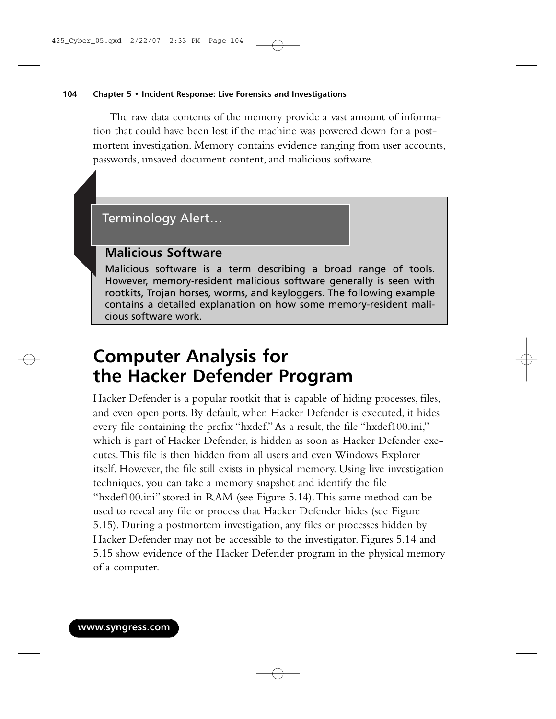The raw data contents of the memory provide a vast amount of information that could have been lost if the machine was powered down for a postmortem investigation. Memory contains evidence ranging from user accounts, passwords, unsaved document content, and malicious software.

### Terminology Alert…

### **Malicious Software**

Malicious software is a term describing a broad range of tools. However, memory-resident malicious software generally is seen with rootkits, Trojan horses, worms, and keyloggers. The following example contains a detailed explanation on how some memory-resident malicious software work.

## **Computer Analysis for the Hacker Defender Program**

Hacker Defender is a popular rootkit that is capable of hiding processes, files, and even open ports. By default, when Hacker Defender is executed, it hides every file containing the prefix "hxdef."As a result, the file "hxdef100.ini," which is part of Hacker Defender, is hidden as soon as Hacker Defender executes.This file is then hidden from all users and even Windows Explorer itself. However, the file still exists in physical memory. Using live investigation techniques, you can take a memory snapshot and identify the file "hxdef100.ini" stored in RAM (see Figure 5.14).This same method can be used to reveal any file or process that Hacker Defender hides (see Figure 5.15). During a postmortem investigation, any files or processes hidden by Hacker Defender may not be accessible to the investigator. Figures 5.14 and 5.15 show evidence of the Hacker Defender program in the physical memory of a computer.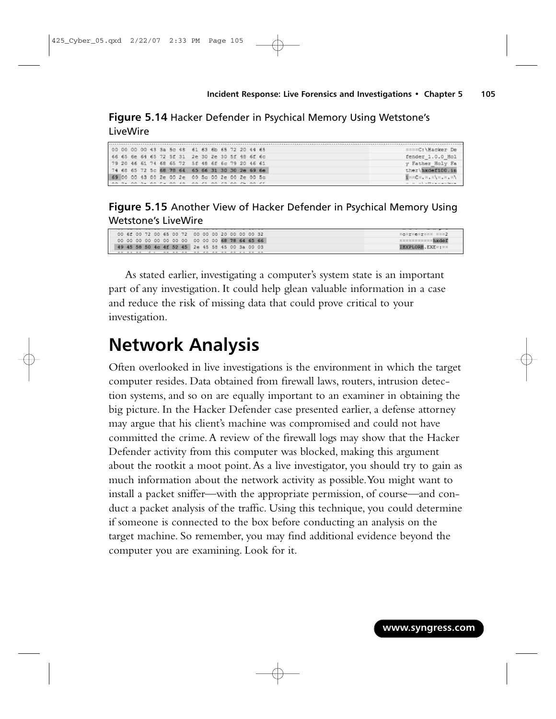#### **Figure 5.14** Hacker Defender in Psychical Memory Using Wetstone's LiveWire

|  |  |  |  | 00 00 00 00 43 3a 5c 48 61 63 6b 65 72 20 44 65 |  |  |  | HHHHC:\Hacker De                |
|--|--|--|--|-------------------------------------------------|--|--|--|---------------------------------|
|  |  |  |  | 66 65 6e 64 65 72 5f 31 2e 30 2e 30 5f 48 6f 6c |  |  |  | fender 1.0.0 Hol                |
|  |  |  |  | 79 20 46 61 74 68 65 72 5f 48 6f 6c 79 20 46 61 |  |  |  | y Father Holy Fa                |
|  |  |  |  | 74 68 65 72 5c 68 78 64 65 66 31 30 30 2e 69 6e |  |  |  | ther\hxdef100.in                |
|  |  |  |  | 69 00 00 43 00 2e 00 2e 00 5c 00 2e 00 2e 00 5c |  |  |  | DOUGH H. H. H. H. H.            |
|  |  |  |  | AA As AA As AA Fs AA AA AA FS AA FA AA FS AA FF |  |  |  | with the second of the terms of |

**Figure 5.15** Another View of Hacker Defender in Psychical Memory Using Wetstone's LiveWire

|  |  |  |  | 00 6f 00 72 00 65 00 72 00 00 00 20 00 00 00 32 |  |  |  |  |
|--|--|--|--|-------------------------------------------------|--|--|--|--|
|  |  |  |  | 00 00 00 00 00 00 00 00 00 00 00 68 78 64 65 66 |  |  |  |  |
|  |  |  |  | 49 45 58 50 4c 4f 52 45 2e 45 58 45 00 3a 00 03 |  |  |  |  |
|  |  |  |  |                                                 |  |  |  |  |

As stated earlier, investigating a computer's system state is an important part of any investigation. It could help glean valuable information in a case and reduce the risk of missing data that could prove critical to your investigation.

### **Network Analysis**

Often overlooked in live investigations is the environment in which the target computer resides. Data obtained from firewall laws, routers, intrusion detection systems, and so on are equally important to an examiner in obtaining the big picture. In the Hacker Defender case presented earlier, a defense attorney may argue that his client's machine was compromised and could not have committed the crime.A review of the firewall logs may show that the Hacker Defender activity from this computer was blocked, making this argument about the rootkit a moot point. As a live investigator, you should try to gain as much information about the network activity as possible.You might want to install a packet sniffer—with the appropriate permission, of course—and conduct a packet analysis of the traffic. Using this technique, you could determine if someone is connected to the box before conducting an analysis on the target machine. So remember, you may find additional evidence beyond the computer you are examining. Look for it.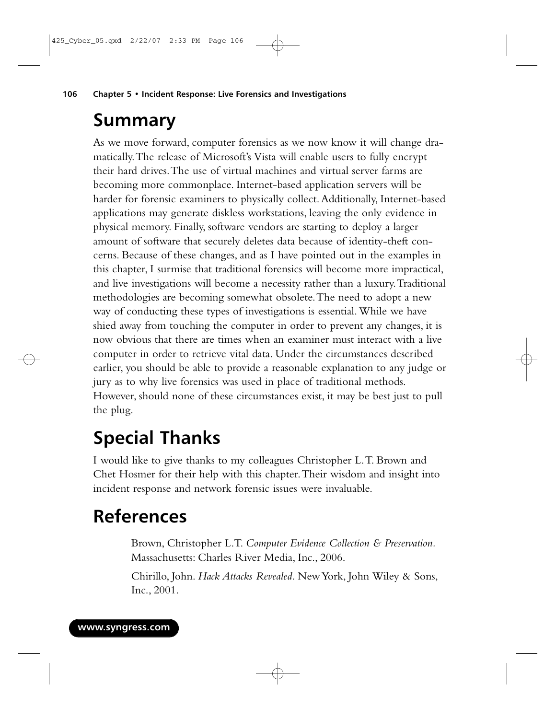## **Summary**

As we move forward, computer forensics as we now know it will change dramatically.The release of Microsoft's Vista will enable users to fully encrypt their hard drives.The use of virtual machines and virtual server farms are becoming more commonplace. Internet-based application servers will be harder for forensic examiners to physically collect.Additionally, Internet-based applications may generate diskless workstations, leaving the only evidence in physical memory. Finally, software vendors are starting to deploy a larger amount of software that securely deletes data because of identity-theft concerns. Because of these changes, and as I have pointed out in the examples in this chapter, I surmise that traditional forensics will become more impractical, and live investigations will become a necessity rather than a luxury.Traditional methodologies are becoming somewhat obsolete.The need to adopt a new way of conducting these types of investigations is essential. While we have shied away from touching the computer in order to prevent any changes, it is now obvious that there are times when an examiner must interact with a live computer in order to retrieve vital data. Under the circumstances described earlier, you should be able to provide a reasonable explanation to any judge or jury as to why live forensics was used in place of traditional methods. However, should none of these circumstances exist, it may be best just to pull the plug.

## **Special Thanks**

I would like to give thanks to my colleagues Christopher L.T. Brown and Chet Hosmer for their help with this chapter.Their wisdom and insight into incident response and network forensic issues were invaluable.

## **References**

Brown, Christopher L.T. *Computer Evidence Collection & Preservation.* Massachusetts: Charles River Media, Inc., 2006.

Chirillo, John. *Hack Attacks Revealed.* New York, John Wiley & Sons, Inc., 2001.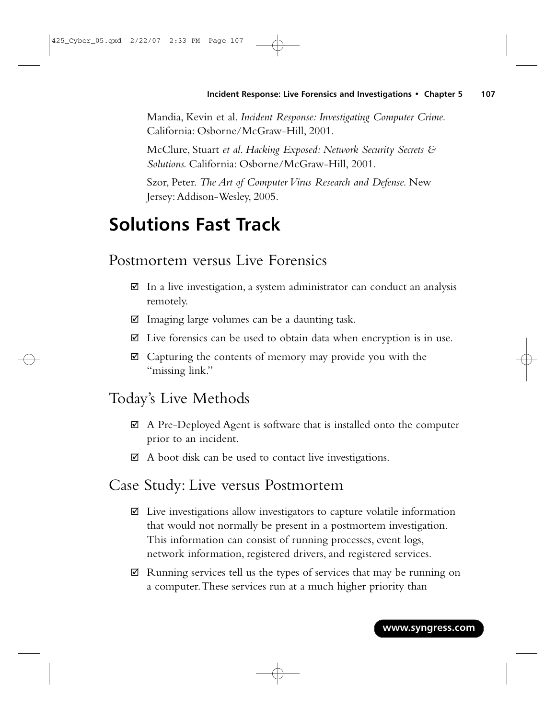Mandia, Kevin et al. *Incident Response: Investigating Computer Crime.* California: Osborne/McGraw-Hill, 2001.

McClure, Stuart *et al*. *Hacking Exposed: Network Security Secrets & Solutions.* California: Osborne/McGraw-Hill, 2001.

Szor, Peter. *The Art of Computer Virus Research and Defense.* New Jersey:Addison-Wesley, 2005.

## **Solutions Fast Track**

### Postmortem versus Live Forensics

- $\Phi$  In a live investigation, a system administrator can conduct an analysis remotely.
- Imaging large volumes can be a daunting task.
- □ Live forensics can be used to obtain data when encryption is in use.
- Capturing the contents of memory may provide you with the "missing link."

### Today's Live Methods

- A Pre-Deployed Agent is software that is installed onto the computer prior to an incident.
- □ A boot disk can be used to contact live investigations.

### Case Study: Live versus Postmortem

- Live investigations allow investigators to capture volatile information that would not normally be present in a postmortem investigation. This information can consist of running processes, event logs, network information, registered drivers, and registered services.
- Running services tell us the types of services that may be running on a computer.These services run at a much higher priority than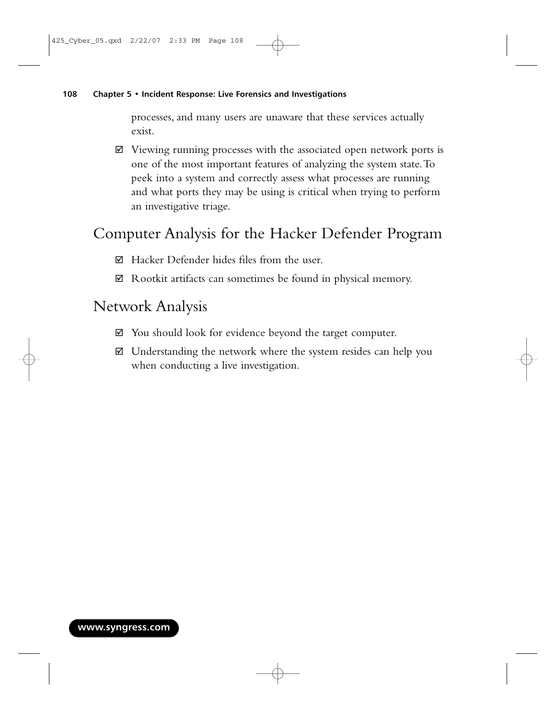#### **108 Chapter 5 • Incident Response: Live Forensics and Investigations**

processes, and many users are unaware that these services actually exist.

■ Viewing running processes with the associated open network ports is one of the most important features of analyzing the system state.To peek into a system and correctly assess what processes are running and what ports they may be using is critical when trying to perform an investigative triage.

### Computer Analysis for the Hacker Defender Program

- Hacker Defender hides files from the user.
- Rootkit artifacts can sometimes be found in physical memory.

#### Network Analysis

- □ You should look for evidence beyond the target computer.
- Understanding the network where the system resides can help you when conducting a live investigation.